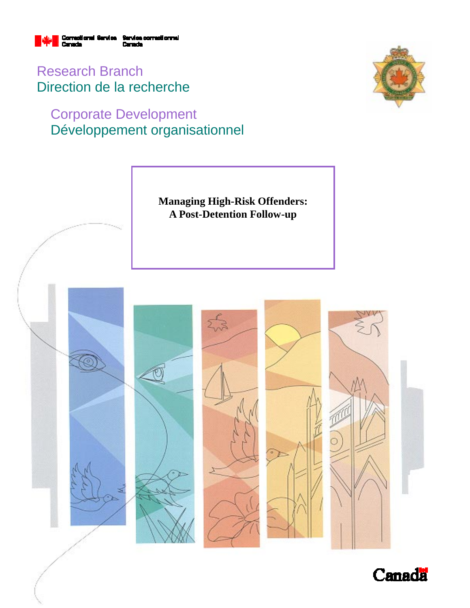

Research Branch Direction de la recherche

# Corporate Development Développement organisationnel





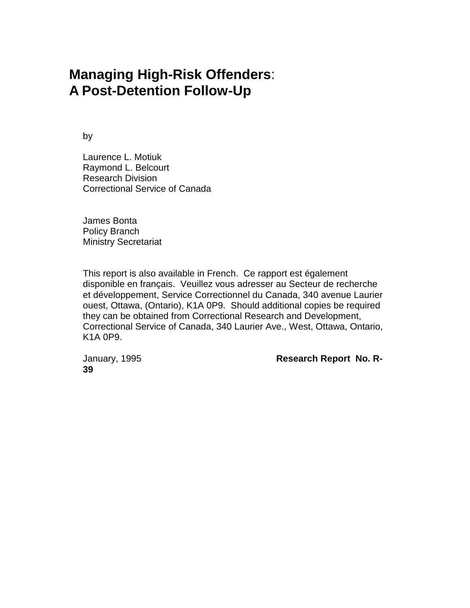# **Managing High-Risk Offenders**: **A Post-Detention Follow-Up**

by

Laurence L. Motiuk Raymond L. Belcourt Research Division Correctional Service of Canada

James Bonta Policy Branch Ministry Secretariat

This report is also available in French. Ce rapport est également disponible en français. Veuillez vous adresser au Secteur de recherche et développement, Service Correctionnel du Canada, 340 avenue Laurier ouest, Ottawa, (Ontario), K1A 0P9. Should additional copies be required they can be obtained from Correctional Research and Development, Correctional Service of Canada, 340 Laurier Ave., West, Ottawa, Ontario, K1A 0P9.

**39**

January, 1995 **Research Report No. R-**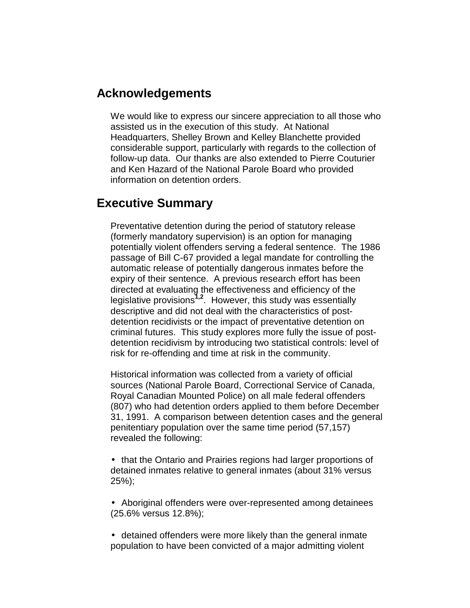# **Acknowledgements**

We would like to express our sincere appreciation to all those who assisted us in the execution of this study. At National Headquarters, Shelley Brown and Kelley Blanchette provided considerable support, particularly with regards to the collection of follow-up data. Our thanks are also extended to Pierre Couturier and Ken Hazard of the National Parole Board who provided information on detention orders.

# **Executive Summary**

Preventative detention during the period of statutory release (formerly mandatory supervision) is an option for managing potentially violent offenders serving a federal sentence. The 1986 passage of Bill C-67 provided a legal mandate for controlling the automatic release of potentially dangerous inmates before the expiry of their sentence. A previous research effort has been directed at evaluating the effectiveness and efficiency of the legislative provisions**1,2**. However, this study was essentially descriptive and did not deal with the characteristics of postdetention recidivists or the impact of preventative detention on criminal futures. This study explores more fully the issue of postdetention recidivism by introducing two statistical controls: level of risk for re-offending and time at risk in the community.

Historical information was collected from a variety of official sources (National Parole Board, Correctional Service of Canada, Royal Canadian Mounted Police) on all male federal offenders (807) who had detention orders applied to them before December 31, 1991. A comparison between detention cases and the general penitentiary population over the same time period (57,157) revealed the following:

• that the Ontario and Prairies regions had larger proportions of detained inmates relative to general inmates (about 31% versus 25%);

• Aboriginal offenders were over-represented among detainees (25.6% versus 12.8%);

• detained offenders were more likely than the general inmate population to have been convicted of a major admitting violent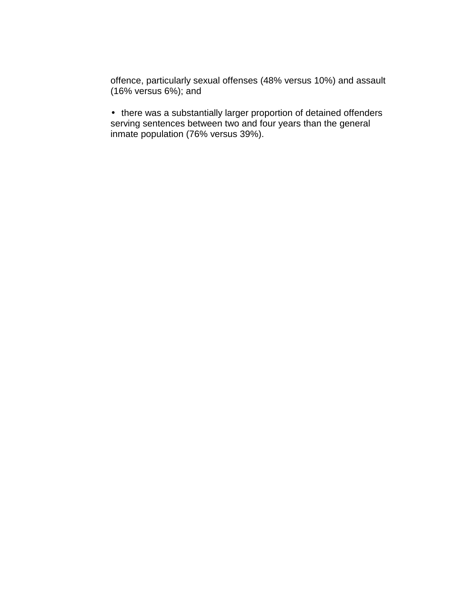offence, particularly sexual offenses (48% versus 10%) and assault (16% versus 6%); and

• there was a substantially larger proportion of detained offenders serving sentences between two and four years than the general inmate population (76% versus 39%).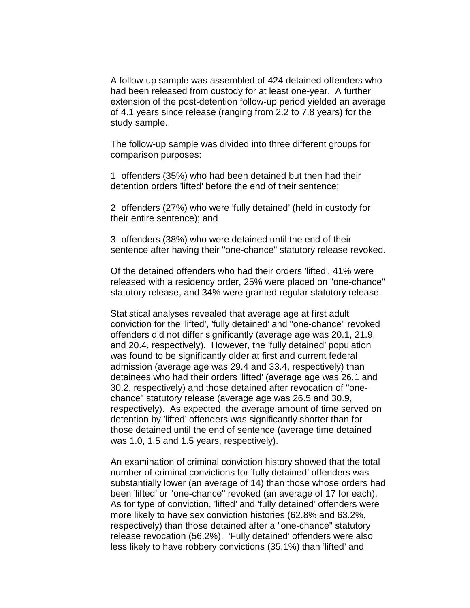A follow-up sample was assembled of 424 detained offenders who had been released from custody for at least one-year. A further extension of the post-detention follow-up period yielded an average of 4.1 years since release (ranging from 2.2 to 7.8 years) for the study sample.

The follow-up sample was divided into three different groups for comparison purposes:

1 offenders (35%) who had been detained but then had their detention orders 'lifted' before the end of their sentence;

2 offenders (27%) who were 'fully detained' (held in custody for their entire sentence); and

3 offenders (38%) who were detained until the end of their sentence after having their "one-chance" statutory release revoked.

Of the detained offenders who had their orders 'lifted', 41% were released with a residency order, 25% were placed on "one-chance" statutory release, and 34% were granted regular statutory release.

Statistical analyses revealed that average age at first adult conviction for the 'lifted', 'fully detained' and "one-chance" revoked offenders did not differ significantly (average age was 20.1, 21.9, and 20.4, respectively). However, the 'fully detained' population was found to be significantly older at first and current federal admission (average age was 29.4 and 33.4, respectively) than detainees who had their orders 'lifted' (average age was 26.1 and 30.2, respectively) and those detained after revocation of "onechance" statutory release (average age was 26.5 and 30.9, respectively). As expected, the average amount of time served on detention by 'lifted' offenders was significantly shorter than for those detained until the end of sentence (average time detained was 1.0, 1.5 and 1.5 years, respectively).

An examination of criminal conviction history showed that the total number of criminal convictions for 'fully detained' offenders was substantially lower (an average of 14) than those whose orders had been 'lifted' or "one-chance" revoked (an average of 17 for each). As for type of conviction, 'lifted' and 'fully detained' offenders were more likely to have sex conviction histories (62.8% and 63.2%, respectively) than those detained after a "one-chance" statutory release revocation (56.2%). 'Fully detained' offenders were also less likely to have robbery convictions (35.1%) than 'lifted' and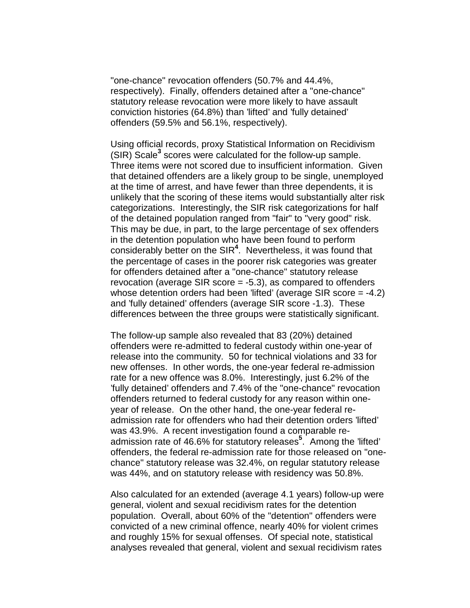"one-chance" revocation offenders (50.7% and 44.4%, respectively). Finally, offenders detained after a "one-chance" statutory release revocation were more likely to have assault conviction histories (64.8%) than 'lifted' and 'fully detained' offenders (59.5% and 56.1%, respectively).

Using official records, proxy Statistical Information on Recidivism (SIR) Scale<sup>3</sup> scores were calculated for the follow-up sample. Three items were not scored due to insufficient information. Given that detained offenders are a likely group to be single, unemployed at the time of arrest, and have fewer than three dependents, it is unlikely that the scoring of these items would substantially alter risk categorizations. Interestingly, the SIR risk categorizations for half of the detained population ranged from "fair" to "very good" risk. This may be due, in part, to the large percentage of sex offenders in the detention population who have been found to perform considerably better on the SIR**<sup>4</sup>** . Nevertheless, it was found that the percentage of cases in the poorer risk categories was greater for offenders detained after a "one-chance" statutory release revocation (average SIR score = -5.3), as compared to offenders whose detention orders had been 'lifted' (average SIR score = -4.2) and 'fully detained' offenders (average SIR score -1.3). These differences between the three groups were statistically significant.

The follow-up sample also revealed that 83 (20%) detained offenders were re-admitted to federal custody within one-year of release into the community. 50 for technical violations and 33 for new offenses. In other words, the one-year federal re-admission rate for a new offence was 8.0%. Interestingly, just 6.2% of the 'fully detained' offenders and 7.4% of the "one-chance" revocation offenders returned to federal custody for any reason within oneyear of release. On the other hand, the one-year federal readmission rate for offenders who had their detention orders 'lifted' was 43.9%. A recent investigation found a comparable readmission rate of 46.6% for statutory releases**<sup>5</sup>** . Among the 'lifted' offenders, the federal re-admission rate for those released on "onechance" statutory release was 32.4%, on regular statutory release was 44%, and on statutory release with residency was 50.8%.

Also calculated for an extended (average 4.1 years) follow-up were general, violent and sexual recidivism rates for the detention population. Overall, about 60% of the "detention" offenders were convicted of a new criminal offence, nearly 40% for violent crimes and roughly 15% for sexual offenses. Of special note, statistical analyses revealed that general, violent and sexual recidivism rates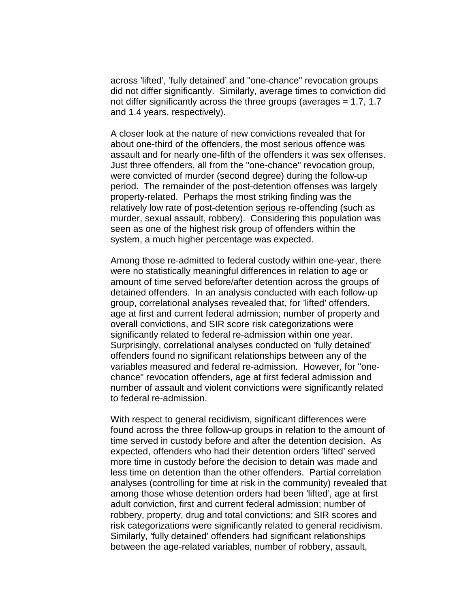across 'lifted', 'fully detained' and "one-chance" revocation groups did not differ significantly. Similarly, average times to conviction did not differ significantly across the three groups (averages = 1.7, 1.7 and 1.4 years, respectively).

A closer look at the nature of new convictions revealed that for about one-third of the offenders, the most serious offence was assault and for nearly one-fifth of the offenders it was sex offenses. Just three offenders, all from the "one-chance" revocation group, were convicted of murder (second degree) during the follow-up period. The remainder of the post-detention offenses was largely property-related. Perhaps the most striking finding was the relatively low rate of post-detention serious re-offending (such as murder, sexual assault, robbery). Considering this population was seen as one of the highest risk group of offenders within the system, a much higher percentage was expected.

Among those re-admitted to federal custody within one-year, there were no statistically meaningful differences in relation to age or amount of time served before/after detention across the groups of detained offenders. In an analysis conducted with each follow-up group, correlational analyses revealed that, for 'lifted' offenders, age at first and current federal admission; number of property and overall convictions, and SIR score risk categorizations were significantly related to federal re-admission within one year. Surprisingly, correlational analyses conducted on 'fully detained' offenders found no significant relationships between any of the variables measured and federal re-admission. However, for "onechance" revocation offenders, age at first federal admission and number of assault and violent convictions were significantly related to federal re-admission.

With respect to general recidivism, significant differences were found across the three follow-up groups in relation to the amount of time served in custody before and after the detention decision. As expected, offenders who had their detention orders 'lifted' served more time in custody before the decision to detain was made and less time on detention than the other offenders. Partial correlation analyses (controlling for time at risk in the community) revealed that among those whose detention orders had been 'lifted', age at first adult conviction, first and current federal admission; number of robbery, property, drug and total convictions; and SIR scores and risk categorizations were significantly related to general recidivism. Similarly, 'fully detained' offenders had significant relationships between the age-related variables, number of robbery, assault,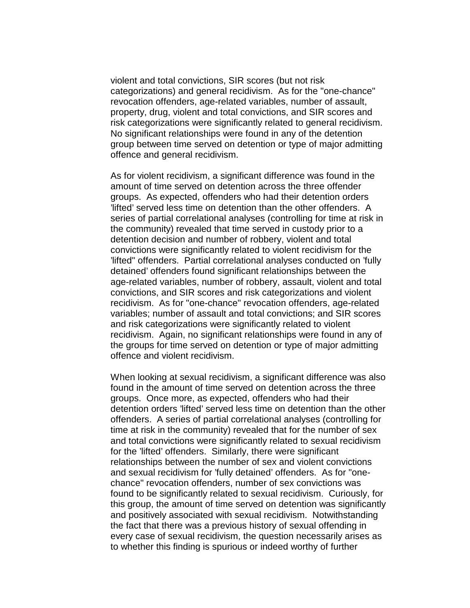violent and total convictions, SIR scores (but not risk categorizations) and general recidivism. As for the "one-chance" revocation offenders, age-related variables, number of assault, property, drug, violent and total convictions, and SIR scores and risk categorizations were significantly related to general recidivism. No significant relationships were found in any of the detention group between time served on detention or type of major admitting offence and general recidivism.

As for violent recidivism, a significant difference was found in the amount of time served on detention across the three offender groups. As expected, offenders who had their detention orders 'lifted' served less time on detention than the other offenders. A series of partial correlational analyses (controlling for time at risk in the community) revealed that time served in custody prior to a detention decision and number of robbery, violent and total convictions were significantly related to violent recidivism for the 'lifted" offenders. Partial correlational analyses conducted on 'fully detained' offenders found significant relationships between the age-related variables, number of robbery, assault, violent and total convictions, and SIR scores and risk categorizations and violent recidivism. As for "one-chance" revocation offenders, age-related variables; number of assault and total convictions; and SIR scores and risk categorizations were significantly related to violent recidivism. Again, no significant relationships were found in any of the groups for time served on detention or type of major admitting offence and violent recidivism.

When looking at sexual recidivism, a significant difference was also found in the amount of time served on detention across the three groups. Once more, as expected, offenders who had their detention orders 'lifted' served less time on detention than the other offenders. A series of partial correlational analyses (controlling for time at risk in the community) revealed that for the number of sex and total convictions were significantly related to sexual recidivism for the 'lifted' offenders. Similarly, there were significant relationships between the number of sex and violent convictions and sexual recidivism for 'fully detained' offenders. As for "onechance" revocation offenders, number of sex convictions was found to be significantly related to sexual recidivism. Curiously, for this group, the amount of time served on detention was significantly and positively associated with sexual recidivism. Notwithstanding the fact that there was a previous history of sexual offending in every case of sexual recidivism, the question necessarily arises as to whether this finding is spurious or indeed worthy of further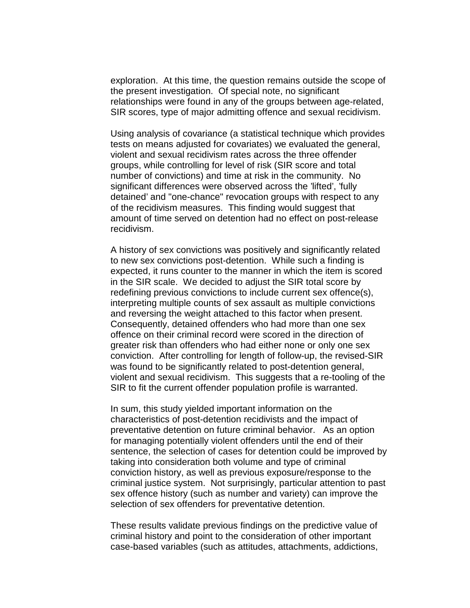exploration. At this time, the question remains outside the scope of the present investigation. Of special note, no significant relationships were found in any of the groups between age-related, SIR scores, type of major admitting offence and sexual recidivism.

Using analysis of covariance (a statistical technique which provides tests on means adjusted for covariates) we evaluated the general, violent and sexual recidivism rates across the three offender groups, while controlling for level of risk (SIR score and total number of convictions) and time at risk in the community. No significant differences were observed across the 'lifted', 'fully detained' and "one-chance" revocation groups with respect to any of the recidivism measures. This finding would suggest that amount of time served on detention had no effect on post-release recidivism.

A history of sex convictions was positively and significantly related to new sex convictions post-detention. While such a finding is expected, it runs counter to the manner in which the item is scored in the SIR scale. We decided to adjust the SIR total score by redefining previous convictions to include current sex offence(s), interpreting multiple counts of sex assault as multiple convictions and reversing the weight attached to this factor when present. Consequently, detained offenders who had more than one sex offence on their criminal record were scored in the direction of greater risk than offenders who had either none or only one sex conviction. After controlling for length of follow-up, the revised-SIR was found to be significantly related to post-detention general, violent and sexual recidivism. This suggests that a re-tooling of the SIR to fit the current offender population profile is warranted.

In sum, this study yielded important information on the characteristics of post-detention recidivists and the impact of preventative detention on future criminal behavior. As an option for managing potentially violent offenders until the end of their sentence, the selection of cases for detention could be improved by taking into consideration both volume and type of criminal conviction history, as well as previous exposure/response to the criminal justice system. Not surprisingly, particular attention to past sex offence history (such as number and variety) can improve the selection of sex offenders for preventative detention.

These results validate previous findings on the predictive value of criminal history and point to the consideration of other important case-based variables (such as attitudes, attachments, addictions,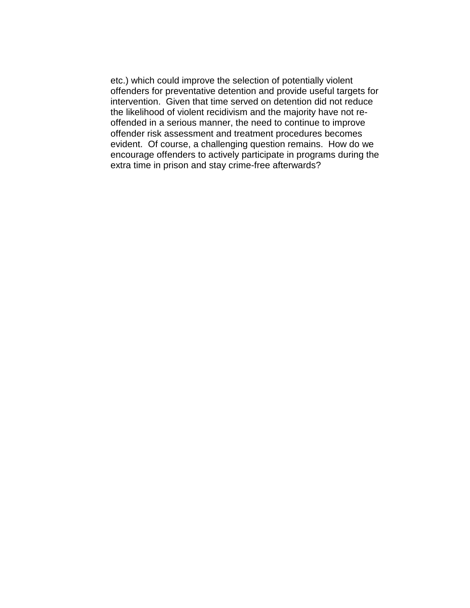etc.) which could improve the selection of potentially violent offenders for preventative detention and provide useful targets for intervention. Given that time served on detention did not reduce the likelihood of violent recidivism and the majority have not reoffended in a serious manner, the need to continue to improve offender risk assessment and treatment procedures becomes evident. Of course, a challenging question remains. How do we encourage offenders to actively participate in programs during the extra time in prison and stay crime-free afterwards?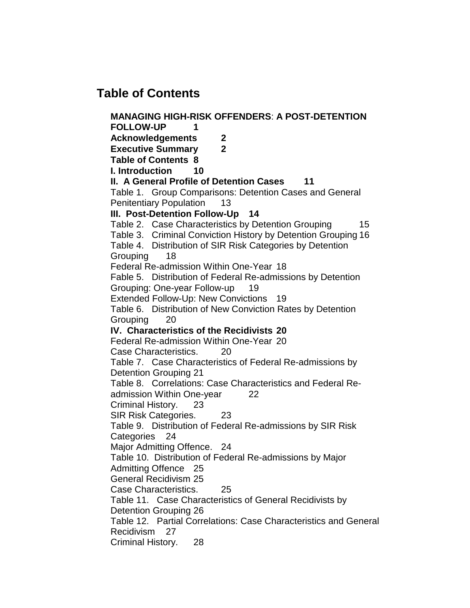# **Table of Contents**

**MANAGING HIGH-RISK OFFENDERS**: **A POST-DETENTION FOLLOW-UP 1 Acknowledgements 2 Executive Summary 2 Table of Contents 8 I. Introduction 10 II. A General Profile of Detention Cases 11** Table 1. Group Comparisons: Detention Cases and General Penitentiary Population 13 **III. Post-Detention Follow-Up 14** Table 2. Case Characteristics by Detention Grouping 15 Table 3. Criminal Conviction History by Detention Grouping 16 Table 4. Distribution of SIR Risk Categories by Detention Grouping 18 Federal Re-admission Within One-Year 18 Fable 5. Distribution of Federal Re-admissions by Detention Grouping: One-year Follow-up 19 Extended Follow-Up: New Convictions 19 Table 6. Distribution of New Conviction Rates by Detention Grouping 20 **IV. Characteristics of the Recidivists 20** Federal Re-admission Within One-Year 20 Case Characteristics. 20 Table 7. Case Characteristics of Federal Re-admissions by Detention Grouping 21 Table 8. Correlations: Case Characteristics and Federal Readmission Within One-year 22 Criminal History. 23 SIR Risk Categories. 23 Table 9. Distribution of Federal Re-admissions by SIR Risk Categories 24 Major Admitting Offence. 24 Table 10. Distribution of Federal Re-admissions by Major Admitting Offence 25 General Recidivism 25 Case Characteristics. 25 Table 11. Case Characteristics of General Recidivists by Detention Grouping 26 Table 12. Partial Correlations: Case Characteristics and General Recidivism 27 Criminal History. 28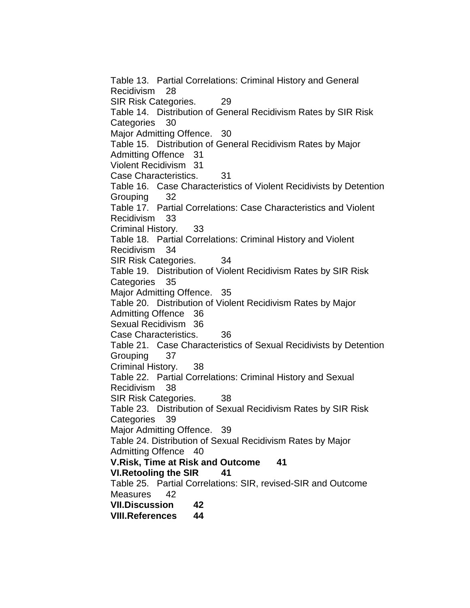Table 13. Partial Correlations: Criminal History and General Recidivism 28 SIR Risk Categories. 29 Table 14. Distribution of General Recidivism Rates by SIR Risk Categories 30 Major Admitting Offence. 30 Table 15. Distribution of General Recidivism Rates by Major Admitting Offence 31 Violent Recidivism 31 Case Characteristics. 31 Table 16. Case Characteristics of Violent Recidivists by Detention Grouping 32 Table 17. Partial Correlations: Case Characteristics and Violent Recidivism 33 Criminal History. 33 Table 18. Partial Correlations: Criminal History and Violent Recidivism 34 SIR Risk Categories. 34 Table 19. Distribution of Violent Recidivism Rates by SIR Risk Categories 35 Major Admitting Offence. 35 Table 20. Distribution of Violent Recidivism Rates by Major Admitting Offence 36 Sexual Recidivism 36 Case Characteristics. 36 Table 21. Case Characteristics of Sexual Recidivists by Detention Grouping 37 Criminal History. 38 Table 22. Partial Correlations: Criminal History and Sexual Recidivism 38 SIR Risk Categories. 38 Table 23. Distribution of Sexual Recidivism Rates by SIR Risk Categories 39 Major Admitting Offence. 39 Table 24. Distribution of Sexual Recidivism Rates by Major Admitting Offence 40 **V.Risk, Time at Risk and Outcome 41 VI.Retooling the SIR 41** Table 25. Partial Correlations: SIR, revised-SIR and Outcome Measures 42 **VII.Discussion 42 VIII.References 44**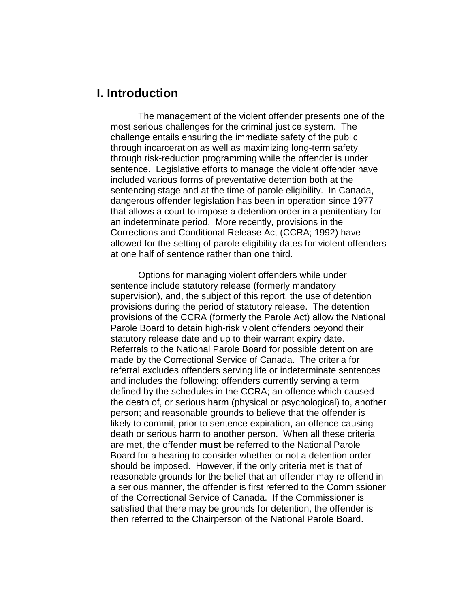# **I. Introduction**

The management of the violent offender presents one of the most serious challenges for the criminal justice system. The challenge entails ensuring the immediate safety of the public through incarceration as well as maximizing long-term safety through risk-reduction programming while the offender is under sentence. Legislative efforts to manage the violent offender have included various forms of preventative detention both at the sentencing stage and at the time of parole eligibility. In Canada, dangerous offender legislation has been in operation since 1977 that allows a court to impose a detention order in a penitentiary for an indeterminate period. More recently, provisions in the Corrections and Conditional Release Act (CCRA; 1992) have allowed for the setting of parole eligibility dates for violent offenders at one half of sentence rather than one third.

Options for managing violent offenders while under sentence include statutory release (formerly mandatory supervision), and, the subject of this report, the use of detention provisions during the period of statutory release. The detention provisions of the CCRA (formerly the Parole Act) allow the National Parole Board to detain high-risk violent offenders beyond their statutory release date and up to their warrant expiry date. Referrals to the National Parole Board for possible detention are made by the Correctional Service of Canada. The criteria for referral excludes offenders serving life or indeterminate sentences and includes the following: offenders currently serving a term defined by the schedules in the CCRA; an offence which caused the death of, or serious harm (physical or psychological) to, another person; and reasonable grounds to believe that the offender is likely to commit, prior to sentence expiration, an offence causing death or serious harm to another person. When all these criteria are met, the offender **must** be referred to the National Parole Board for a hearing to consider whether or not a detention order should be imposed. However, if the only criteria met is that of reasonable grounds for the belief that an offender may re-offend in a serious manner, the offender is first referred to the Commissioner of the Correctional Service of Canada. If the Commissioner is satisfied that there may be grounds for detention, the offender is then referred to the Chairperson of the National Parole Board.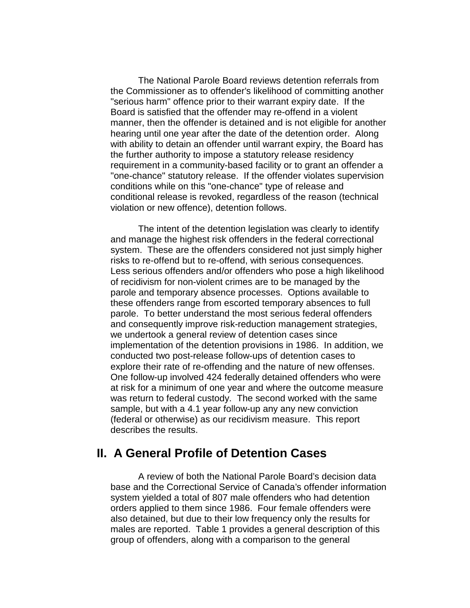The National Parole Board reviews detention referrals from the Commissioner as to offender's likelihood of committing another "serious harm" offence prior to their warrant expiry date. If the Board is satisfied that the offender may re-offend in a violent manner, then the offender is detained and is not eligible for another hearing until one year after the date of the detention order. Along with ability to detain an offender until warrant expiry, the Board has the further authority to impose a statutory release residency requirement in a community-based facility or to grant an offender a "one-chance" statutory release. If the offender violates supervision conditions while on this "one-chance" type of release and conditional release is revoked, regardless of the reason (technical violation or new offence), detention follows.

The intent of the detention legislation was clearly to identify and manage the highest risk offenders in the federal correctional system. These are the offenders considered not just simply higher risks to re-offend but to re-offend, with serious consequences. Less serious offenders and/or offenders who pose a high likelihood of recidivism for non-violent crimes are to be managed by the parole and temporary absence processes. Options available to these offenders range from escorted temporary absences to full parole. To better understand the most serious federal offenders and consequently improve risk-reduction management strategies, we undertook a general review of detention cases since implementation of the detention provisions in 1986. In addition, we conducted two post-release follow-ups of detention cases to explore their rate of re-offending and the nature of new offenses. One follow-up involved 424 federally detained offenders who were at risk for a minimum of one year and where the outcome measure was return to federal custody. The second worked with the same sample, but with a 4.1 year follow-up any any new conviction (federal or otherwise) as our recidivism measure. This report describes the results.

# **II. A General Profile of Detention Cases**

A review of both the National Parole Board's decision data base and the Correctional Service of Canada's offender information system yielded a total of 807 male offenders who had detention orders applied to them since 1986. Four female offenders were also detained, but due to their low frequency only the results for males are reported. Table 1 provides a general description of this group of offenders, along with a comparison to the general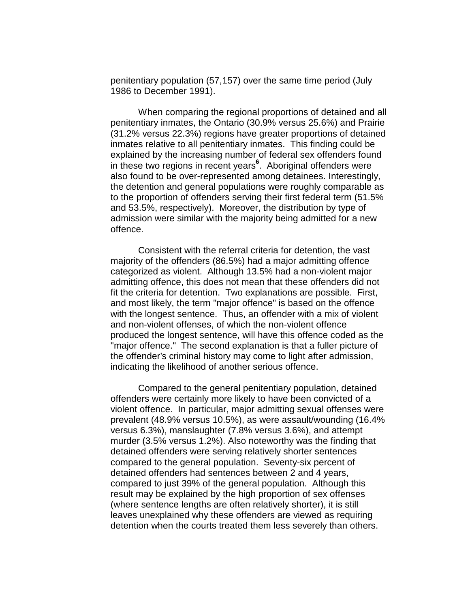penitentiary population (57,157) over the same time period (July 1986 to December 1991).

When comparing the regional proportions of detained and all penitentiary inmates, the Ontario (30.9% versus 25.6%) and Prairie (31.2% versus 22.3%) regions have greater proportions of detained inmates relative to all penitentiary inmates. This finding could be explained by the increasing number of federal sex offenders found in these two regions in recent years**<sup>6</sup>** . Aboriginal offenders were also found to be over-represented among detainees. Interestingly, the detention and general populations were roughly comparable as to the proportion of offenders serving their first federal term (51.5% and 53.5%, respectively). Moreover, the distribution by type of admission were similar with the majority being admitted for a new offence.

Consistent with the referral criteria for detention, the vast majority of the offenders (86.5%) had a major admitting offence categorized as violent. Although 13.5% had a non-violent major admitting offence, this does not mean that these offenders did not fit the criteria for detention. Two explanations are possible. First, and most likely, the term "major offence" is based on the offence with the longest sentence. Thus, an offender with a mix of violent and non-violent offenses, of which the non-violent offence produced the longest sentence, will have this offence coded as the "major offence." The second explanation is that a fuller picture of the offender's criminal history may come to light after admission, indicating the likelihood of another serious offence.

Compared to the general penitentiary population, detained offenders were certainly more likely to have been convicted of a violent offence. In particular, major admitting sexual offenses were prevalent (48.9% versus 10.5%), as were assault/wounding (16.4% versus 6.3%), manslaughter (7.8% versus 3.6%), and attempt murder (3.5% versus 1.2%). Also noteworthy was the finding that detained offenders were serving relatively shorter sentences compared to the general population. Seventy-six percent of detained offenders had sentences between 2 and 4 years, compared to just 39% of the general population. Although this result may be explained by the high proportion of sex offenses (where sentence lengths are often relatively shorter), it is still leaves unexplained why these offenders are viewed as requiring detention when the courts treated them less severely than others.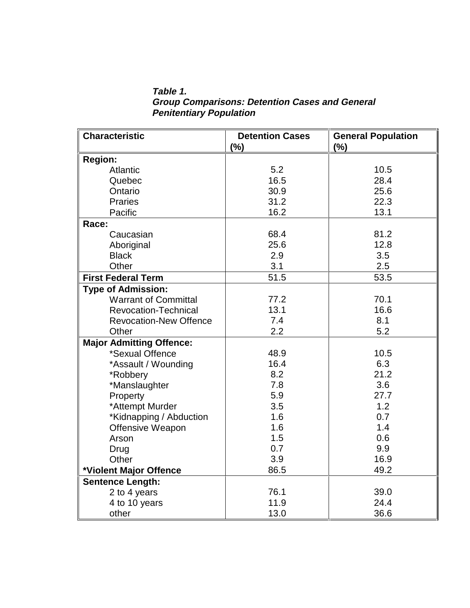**Table 1. Group Comparisons: Detention Cases and General Penitentiary Population**

| <b>Characteristic</b>           | <b>Detention Cases</b><br>(%) | <b>General Population</b><br>(%) |
|---------------------------------|-------------------------------|----------------------------------|
|                                 |                               |                                  |
| <b>Region:</b>                  |                               |                                  |
| <b>Atlantic</b>                 | 5.2                           | 10.5                             |
| Quebec                          | 16.5                          | 28.4                             |
| Ontario                         | 30.9                          | 25.6                             |
| <b>Praries</b>                  | 31.2                          | 22.3                             |
| Pacific                         | 16.2                          | 13.1                             |
| Race:                           |                               |                                  |
| Caucasian                       | 68.4                          | 81.2                             |
| Aboriginal                      | 25.6                          | 12.8                             |
| <b>Black</b>                    | 2.9                           | 3.5                              |
| Other                           | 3.1                           | 2.5                              |
| <b>First Federal Term</b>       | 51.5                          | 53.5                             |
| <b>Type of Admission:</b>       |                               |                                  |
| <b>Warrant of Committal</b>     | 77.2                          | 70.1                             |
| <b>Revocation-Technical</b>     | 13.1                          | 16.6                             |
| <b>Revocation-New Offence</b>   | 7.4                           | 8.1                              |
| Other                           | 2.2                           | 5.2                              |
| <b>Major Admitting Offence:</b> |                               |                                  |
| *Sexual Offence                 | 48.9                          | 10.5                             |
| *Assault / Wounding             | 16.4                          | 6.3                              |
| *Robbery                        | 8.2                           | 21.2                             |
| *Manslaughter                   | 7.8                           | 3.6                              |
| Property                        | 5.9                           | 27.7                             |
| *Attempt Murder                 | 3.5                           | 1.2                              |
| *Kidnapping / Abduction         | 1.6                           | 0.7                              |
| Offensive Weapon                | 1.6                           | 1.4                              |
| Arson                           | 1.5                           | 0.6                              |
| Drug                            | 0.7                           | 9.9                              |
| Other                           | 3.9                           | 16.9                             |
| *Violent Major Offence          | 86.5                          | 49.2                             |
| <b>Sentence Length:</b>         |                               |                                  |
| 2 to 4 years                    | 76.1                          | 39.0                             |
| 4 to 10 years                   | 11.9                          | 24.4                             |
| other                           | 13.0                          | 36.6                             |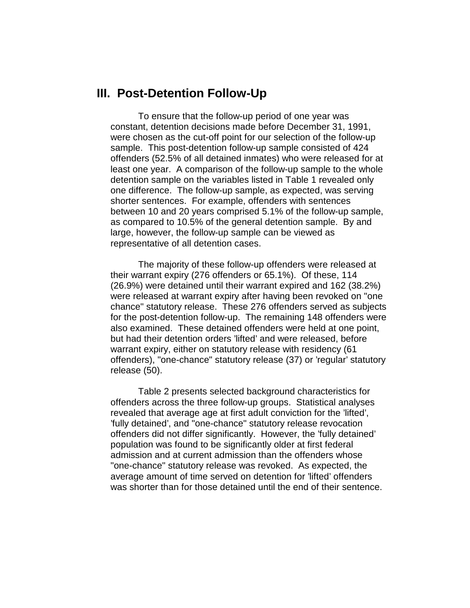### **III. Post-Detention Follow-Up**

To ensure that the follow-up period of one year was constant, detention decisions made before December 31, 1991, were chosen as the cut-off point for our selection of the follow-up sample. This post-detention follow-up sample consisted of 424 offenders (52.5% of all detained inmates) who were released for at least one year. A comparison of the follow-up sample to the whole detention sample on the variables listed in Table 1 revealed only one difference. The follow-up sample, as expected, was serving shorter sentences. For example, offenders with sentences between 10 and 20 years comprised 5.1% of the follow-up sample, as compared to 10.5% of the general detention sample. By and large, however, the follow-up sample can be viewed as representative of all detention cases.

The majority of these follow-up offenders were released at their warrant expiry (276 offenders or 65.1%). Of these, 114 (26.9%) were detained until their warrant expired and 162 (38.2%) were released at warrant expiry after having been revoked on "one chance" statutory release. These 276 offenders served as subjects for the post-detention follow-up. The remaining 148 offenders were also examined. These detained offenders were held at one point, but had their detention orders 'lifted' and were released, before warrant expiry, either on statutory release with residency (61 offenders), "one-chance" statutory release (37) or 'regular' statutory release (50).

Table 2 presents selected background characteristics for offenders across the three follow-up groups. Statistical analyses revealed that average age at first adult conviction for the 'lifted', 'fully detained', and "one-chance" statutory release revocation offenders did not differ significantly. However, the 'fully detained' population was found to be significantly older at first federal admission and at current admission than the offenders whose "one-chance" statutory release was revoked. As expected, the average amount of time served on detention for 'lifted' offenders was shorter than for those detained until the end of their sentence.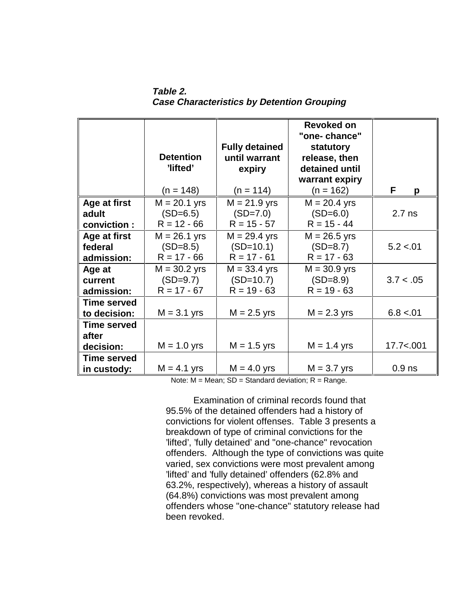**Table 2. Case Characteristics by Detention Grouping**

|                                          | <b>Detention</b><br>'lifted'<br>$(n = 148)$   | <b>Fully detained</b><br>until warrant<br>expiry<br>$(n = 114)$ | <b>Revoked on</b><br>"one-chance"<br>statutory<br>release, then<br>detained until<br>warrant expiry<br>$(n = 162)$ | F.<br>p    |
|------------------------------------------|-----------------------------------------------|-----------------------------------------------------------------|--------------------------------------------------------------------------------------------------------------------|------------|
| Age at first<br>adult<br>conviction:     | $M = 20.1$ yrs<br>$(SD=6.5)$<br>$R = 12 - 66$ | $M = 21.9$ yrs<br>$(SD=7.0)$<br>$R = 15 - 57$                   | $M = 20.4$ yrs<br>$(SD=6.0)$<br>$R = 15 - 44$                                                                      | $2.7$ ns   |
| Age at first<br>federal<br>admission:    | $M = 26.1$ yrs<br>$(SD=8.5)$<br>$R = 17 - 66$ | $M = 29.4$ yrs<br>$(SD=10.1)$<br>$R = 17 - 61$                  | $M = 26.5$ yrs<br>$(SD=8.7)$<br>$R = 17 - 63$                                                                      | 5.2 < 0.01 |
| Age at<br>current<br>admission:          | $M = 30.2$ yrs<br>$(SD=9.7)$<br>$R = 17 - 67$ | $M = 33.4$ yrs<br>$(SD=10.7)$<br>$R = 19 - 63$                  | $M = 30.9$ yrs<br>$(SD=8.9)$<br>$R = 19 - 63$                                                                      | 3.7 < .05  |
| <b>Time served</b><br>to decision:       | $M = 3.1$ yrs                                 | $M = 2.5$ yrs                                                   | $M = 2.3$ yrs                                                                                                      | 6.8 < .01  |
| <b>Time served</b><br>after<br>decision: | $M = 1.0$ yrs                                 | $M = 1.5$ yrs                                                   | $M = 1.4$ yrs                                                                                                      | 17.7 < 001 |
| <b>Time served</b><br>in custody:        | $M = 4.1$ yrs                                 | $M = 4.0$ yrs                                                   | $M = 3.7$ yrs                                                                                                      | $0.9$ ns   |

Note:  $M = Mean$ ;  $SD = Standard deviation$ ;  $R = Range$ .

Examination of criminal records found that 95.5% of the detained offenders had a history of convictions for violent offenses. Table 3 presents a breakdown of type of criminal convictions for the 'lifted', 'fully detained' and "one-chance" revocation offenders. Although the type of convictions was quite varied, sex convictions were most prevalent among 'lifted' and 'fully detained' offenders (62.8% and 63.2%, respectively), whereas a history of assault (64.8%) convictions was most prevalent among offenders whose "one-chance" statutory release had been revoked.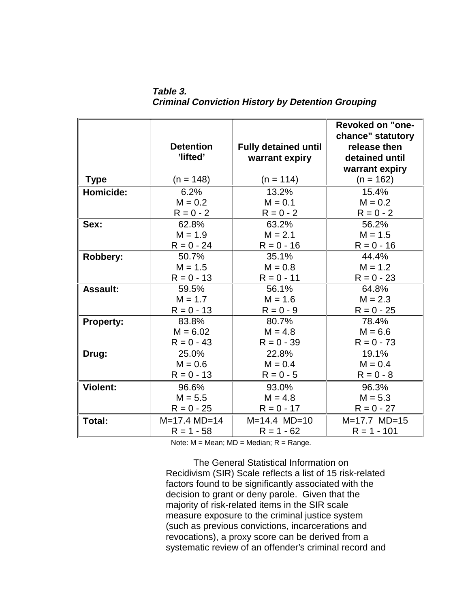**Table 3. Criminal Conviction History by Detention Grouping**

|                  | <b>Detention</b><br>'lifted' | <b>Fully detained until</b><br>warrant expiry | <b>Revoked on "one-</b><br>chance" statutory<br>release then<br>detained until<br>warrant expiry |
|------------------|------------------------------|-----------------------------------------------|--------------------------------------------------------------------------------------------------|
| <b>Type</b>      | $(n = 148)$                  | $(n = 114)$                                   | $(n = 162)$                                                                                      |
| Homicide:        | 6.2%                         | 13.2%                                         | 15.4%                                                                                            |
|                  | $M = 0.2$                    | $M = 0.1$                                     | $M = 0.2$                                                                                        |
|                  | $R = 0 - 2$                  | $R = 0 - 2$                                   | $R = 0 - 2$                                                                                      |
| Sex:             | 62.8%                        | 63.2%                                         | 56.2%                                                                                            |
|                  | $M = 1.9$                    | $M = 2.1$                                     | $M = 1.5$                                                                                        |
|                  | $R = 0 - 24$                 | $R = 0 - 16$                                  | $R = 0 - 16$                                                                                     |
| Robbery:         | 50.7%                        | 35.1%                                         | 44.4%                                                                                            |
|                  | $M = 1.5$                    | $M = 0.8$                                     | $M = 1.2$                                                                                        |
|                  | $R = 0 - 13$                 | $R = 0 - 11$                                  | $R = 0 - 23$                                                                                     |
| <b>Assault:</b>  | 59.5%                        | 56.1%                                         | 64.8%                                                                                            |
|                  | $M = 1.7$                    | $M = 1.6$                                     | $M = 2.3$                                                                                        |
|                  | $R = 0 - 13$                 | $R = 0 - 9$                                   | $R = 0 - 25$                                                                                     |
| <b>Property:</b> | 83.8%                        | 80.7%                                         | 78.4%                                                                                            |
|                  | $M = 6.02$                   | $M = 4.8$                                     | $M = 6.6$                                                                                        |
|                  | $R = 0 - 43$                 | $R = 0 - 39$                                  | $R = 0 - 73$                                                                                     |
| Drug:            | 25.0%                        | 22.8%                                         | 19.1%                                                                                            |
|                  | $M = 0.6$                    | $M = 0.4$                                     | $M = 0.4$                                                                                        |
|                  | $R = 0 - 13$                 | $R = 0 - 5$                                   | $R = 0 - 8$                                                                                      |
| <b>Violent:</b>  | 96.6%                        | 93.0%                                         | 96.3%                                                                                            |
|                  | $M = 5.5$                    | $M = 4.8$                                     | $M = 5.3$                                                                                        |
|                  | $R = 0 - 25$                 | $R = 0 - 17$                                  | $R = 0 - 27$                                                                                     |
| Total:           | $M=17.4$ $MD=14$             | $M=14.4$ $MD=10$                              | $M=17.7$ $MD=15$                                                                                 |
|                  | $R = 1 - 58$                 | $R = 1 - 62$                                  | $R = 1 - 101$                                                                                    |

Note:  $M = Mean$ ;  $MD = Median$ ;  $R = Range$ .

The General Statistical Information on Recidivism (SIR) Scale reflects a list of 15 risk-related factors found to be significantly associated with the decision to grant or deny parole. Given that the majority of risk-related items in the SIR scale measure exposure to the criminal justice system (such as previous convictions, incarcerations and revocations), a proxy score can be derived from a systematic review of an offender's criminal record and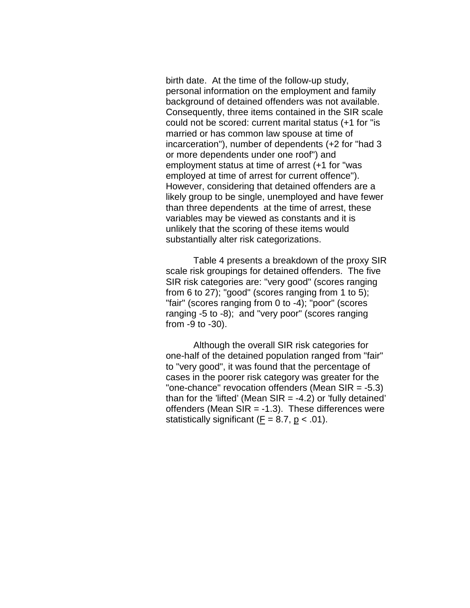birth date. At the time of the follow-up study, personal information on the employment and family background of detained offenders was not available. Consequently, three items contained in the SIR scale could not be scored: current marital status (+1 for "is married or has common law spouse at time of incarceration"), number of dependents (+2 for "had 3 or more dependents under one roof") and employment status at time of arrest (+1 for "was employed at time of arrest for current offence"). However, considering that detained offenders are a likely group to be single, unemployed and have fewer than three dependents at the time of arrest, these variables may be viewed as constants and it is unlikely that the scoring of these items would substantially alter risk categorizations.

Table 4 presents a breakdown of the proxy SIR scale risk groupings for detained offenders. The five SIR risk categories are: "very good" (scores ranging from 6 to 27); "good" (scores ranging from 1 to 5); "fair" (scores ranging from 0 to -4); "poor" (scores ranging -5 to -8); and "very poor" (scores ranging from -9 to -30).

Although the overall SIR risk categories for one-half of the detained population ranged from "fair" to "very good", it was found that the percentage of cases in the poorer risk category was greater for the "one-chance" revocation offenders (Mean SIR = -5.3) than for the 'lifted' (Mean  $SIR = -4.2$ ) or 'fully detained' offenders (Mean  $SIR = -1.3$ ). These differences were statistically significant ( $F = 8.7$ ,  $p < .01$ ).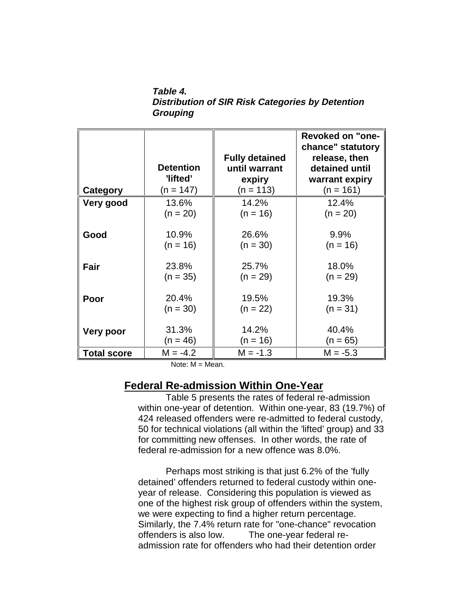**Table 4. Distribution of SIR Risk Categories by Detention Grouping**

|                    | <b>Detention</b><br>'lifted' | <b>Fully detained</b><br>until warrant<br>expiry | <b>Revoked on "one-</b><br>chance" statutory<br>release, then<br>detained until<br>warrant expiry |
|--------------------|------------------------------|--------------------------------------------------|---------------------------------------------------------------------------------------------------|
| Category           | $(n = 147)$                  | $(n = 113)$                                      | $(n = 161)$                                                                                       |
| Very good          | 13.6%                        | 14.2%                                            | 12.4%                                                                                             |
|                    | $(n = 20)$                   | $(n = 16)$                                       | $(n = 20)$                                                                                        |
| Good               | 10.9%                        | 26.6%                                            | $9.9\%$                                                                                           |
|                    | $(n = 16)$                   | $(n = 30)$                                       | $(n = 16)$                                                                                        |
| Fair               | 23.8%                        | 25.7%                                            | 18.0%                                                                                             |
|                    | $(n = 35)$                   | $(n = 29)$                                       | $(n = 29)$                                                                                        |
| Poor               | 20.4%                        | 19.5%                                            | 19.3%                                                                                             |
|                    | $(n = 30)$                   | $(n = 22)$                                       | $(n = 31)$                                                                                        |
| Very poor          | 31.3%                        | 14.2%                                            | 40.4%                                                                                             |
|                    | $(n = 46)$                   | $(n = 16)$                                       | $(n = 65)$                                                                                        |
| <b>Total score</b> | $M = -4.2$                   | $M = -1.3$                                       | $M = -5.3$                                                                                        |

Note:  $M = Mean$ .

### **Federal Re-admission Within One-Year**

Table 5 presents the rates of federal re-admission within one-year of detention. Within one-year, 83 (19.7%) of 424 released offenders were re-admitted to federal custody, 50 for technical violations (all within the 'lifted' group) and 33 for committing new offenses. In other words, the rate of federal re-admission for a new offence was 8.0%.

 Perhaps most striking is that just 6.2% of the 'fully detained' offenders returned to federal custody within oneyear of release. Considering this population is viewed as one of the highest risk group of offenders within the system, we were expecting to find a higher return percentage. Similarly, the 7.4% return rate for "one-chance" revocation offenders is also low. The one-year federal readmission rate for offenders who had their detention order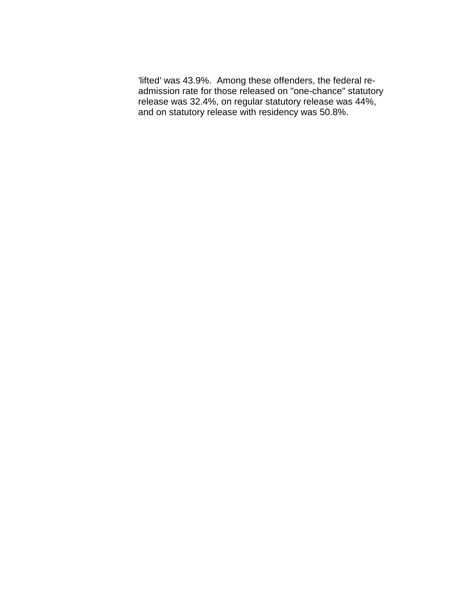'lifted' was 43.9%. Among these offenders, the federal readmission rate for those released on "one-chance" statutory release was 32.4%, on regular statutory release was 44%, and on statutory release with residency was 50.8%.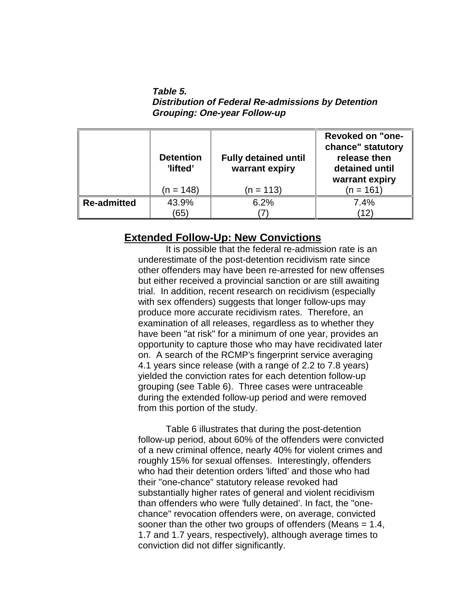**Table 5. Distribution of Federal Re-admissions by Detention Grouping: One-year Follow-up**

|                    | <b>Detention</b><br>'lifted' | <b>Fully detained until</b><br>warrant expiry | <b>Revoked on "one-</b><br>chance" statutory<br>release then<br>detained until<br>warrant expiry |
|--------------------|------------------------------|-----------------------------------------------|--------------------------------------------------------------------------------------------------|
|                    | (n = 148)                    | (n = 113)                                     | (n = 161)                                                                                        |
| <b>Re-admitted</b> | 43.9%                        | 6.2%                                          | 7.4%                                                                                             |
|                    | (65)                         |                                               | $^{\prime}$ 12)                                                                                  |

### **Extended Follow-Up: New Convictions**

It is possible that the federal re-admission rate is an underestimate of the post-detention recidivism rate since other offenders may have been re-arrested for new offenses but either received a provincial sanction or are still awaiting trial. In addition, recent research on recidivism (especially with sex offenders) suggests that longer follow-ups may produce more accurate recidivism rates. Therefore, an examination of all releases, regardless as to whether they have been "at risk" for a minimum of one year, provides an opportunity to capture those who may have recidivated later on. A search of the RCMP's fingerprint service averaging 4.1 years since release (with a range of 2.2 to 7.8 years) yielded the conviction rates for each detention follow-up grouping (see Table 6). Three cases were untraceable during the extended follow-up period and were removed from this portion of the study.

Table 6 illustrates that during the post-detention follow-up period, about 60% of the offenders were convicted of a new criminal offence, nearly 40% for violent crimes and roughly 15% for sexual offenses. Interestingly, offenders who had their detention orders 'lifted' and those who had their "one-chance" statutory release revoked had substantially higher rates of general and violent recidivism than offenders who were 'fully detained'. In fact, the "onechance" revocation offenders were, on average, convicted sooner than the other two groups of offenders (Means = 1.4, 1.7 and 1.7 years, respectively), although average times to conviction did not differ significantly.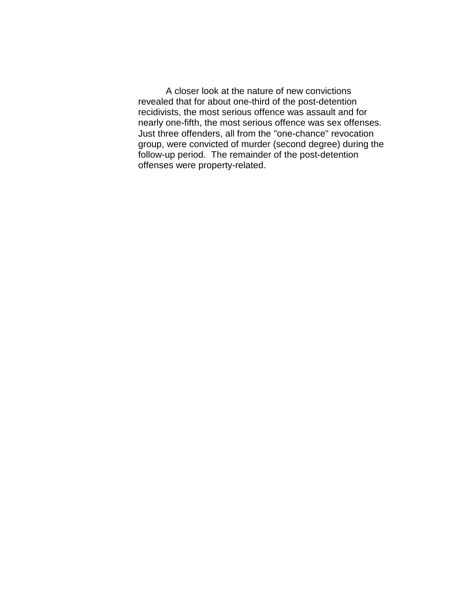A closer look at the nature of new convictions revealed that for about one-third of the post-detention recidivists, the most serious offence was assault and for nearly one-fifth, the most serious offence was sex offenses. Just three offenders, all from the "one-chance" revocation group, were convicted of murder (second degree) during the follow-up period. The remainder of the post-detention offenses were property-related.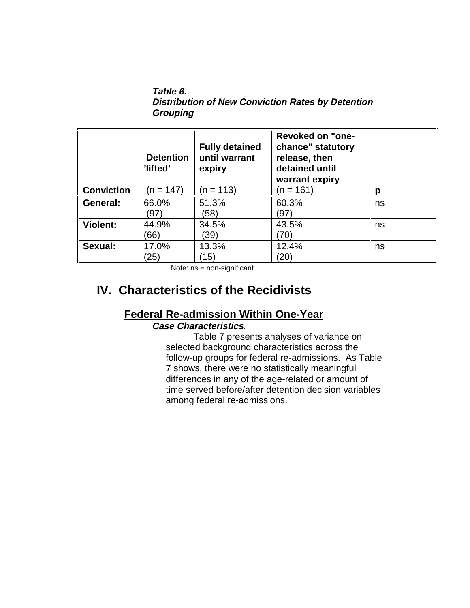**Table 6. Distribution of New Conviction Rates by Detention Grouping**

| <b>Conviction</b> | <b>Detention</b><br>'lifted'<br>(n = 147) | <b>Fully detained</b><br>until warrant<br>expiry<br>(n = 113) | <b>Revoked on "one-</b><br>chance" statutory<br>release, then<br>detained until<br>warrant expiry<br>(n = 161) | Ŋ  |
|-------------------|-------------------------------------------|---------------------------------------------------------------|----------------------------------------------------------------------------------------------------------------|----|
| General:          | 66.0%<br>(97)                             | 51.3%<br>(58)                                                 | 60.3%<br>(97)                                                                                                  | ns |
| <b>Violent:</b>   | 44.9%<br>(66)                             | 34.5%<br>(39)                                                 | 43.5%<br>70)                                                                                                   | ns |
| Sexual:           | 17.0%<br>(25)                             | 13.3%<br>(15)                                                 | 12.4%<br>$\left( 20\right)$                                                                                    | ns |

Note: ns = non-significant.

# **IV. Characteristics of the Recidivists**

### **Federal Re-admission Within One-Year**

### **Case Characteristics**.

Table 7 presents analyses of variance on selected background characteristics across the follow-up groups for federal re-admissions. As Table 7 shows, there were no statistically meaningful differences in any of the age-related or amount of time served before/after detention decision variables among federal re-admissions.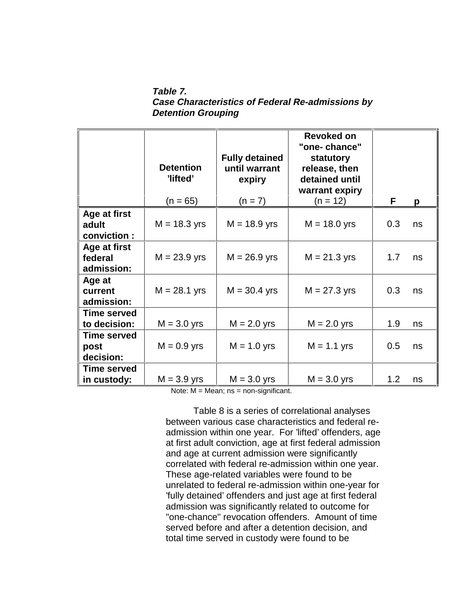**Table 7. Case Characteristics of Federal Re-admissions by Detention Grouping**

|                       | <b>Detention</b><br>'lifted'<br>$(n = 65)$ | <b>Fully detained</b><br>until warrant<br>expiry<br>$(n = 7)$ | Revoked on<br>"one-chance"<br>statutory<br>release, then<br>detained until<br>warrant expiry<br>$(n = 12)$ | F   | p  |
|-----------------------|--------------------------------------------|---------------------------------------------------------------|------------------------------------------------------------------------------------------------------------|-----|----|
| Age at first          |                                            |                                                               |                                                                                                            |     |    |
| adult                 | $M = 18.3$ yrs                             | $M = 18.9$ yrs                                                | $M = 18.0$ yrs                                                                                             | 0.3 | ns |
| conviction:           |                                            |                                                               |                                                                                                            |     |    |
| Age at first          |                                            |                                                               |                                                                                                            |     |    |
| federal               | $M = 23.9$ yrs                             | $M = 26.9$ yrs                                                | $M = 21.3$ yrs                                                                                             | 1.7 | ns |
| admission:            |                                            |                                                               |                                                                                                            |     |    |
| Age at                |                                            |                                                               |                                                                                                            |     |    |
| current<br>admission: | $M = 28.1$ yrs                             | $M = 30.4$ yrs                                                | $M = 27.3$ yrs                                                                                             | 0.3 | ns |
| <b>Time served</b>    |                                            |                                                               |                                                                                                            |     |    |
| to decision:          | $M = 3.0$ yrs                              | $M = 2.0$ yrs                                                 | $M = 2.0$ yrs                                                                                              | 1.9 | ns |
| <b>Time served</b>    |                                            |                                                               |                                                                                                            |     |    |
| post                  | $M = 0.9$ yrs                              | $M = 1.0$ yrs                                                 | $M = 1.1$ yrs                                                                                              | 0.5 | ns |
| decision:             |                                            |                                                               |                                                                                                            |     |    |
| <b>Time served</b>    |                                            |                                                               |                                                                                                            |     |    |
| in custody:           | $M = 3.9$ yrs                              | $M = 3.0$ yrs                                                 | $M = 3.0$ yrs                                                                                              | 1.2 | ns |

Note:  $M = Mean$ ; ns = non-significant.

Table 8 is a series of correlational analyses between various case characteristics and federal readmission within one year. For 'lifted' offenders, age at first adult conviction, age at first federal admission and age at current admission were significantly correlated with federal re-admission within one year. These age-related variables were found to be unrelated to federal re-admission within one-year for 'fully detained' offenders and just age at first federal admission was significantly related to outcome for "one-chance" revocation offenders. Amount of time served before and after a detention decision, and total time served in custody were found to be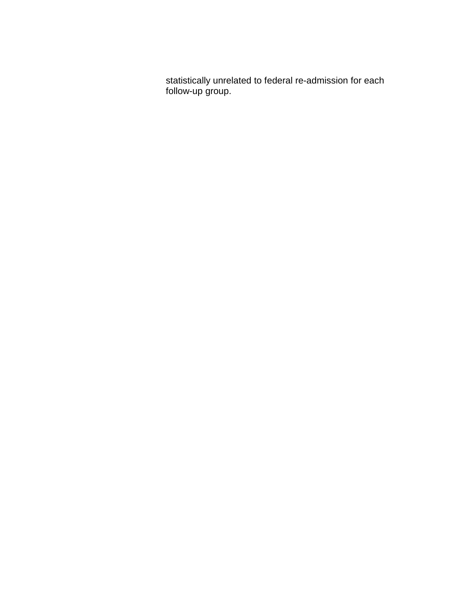statistically unrelated to federal re-admission for each follow-up group.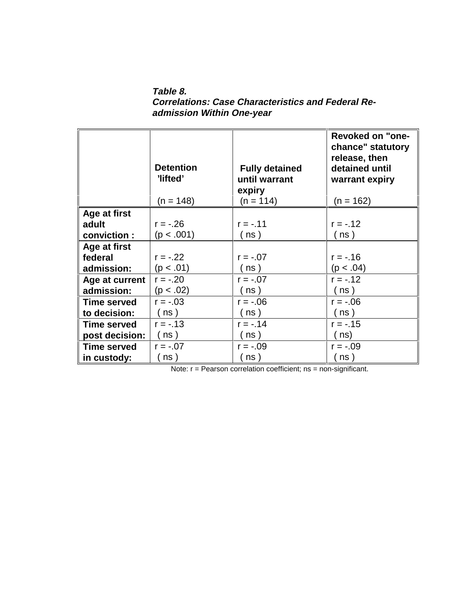**Table 8. Correlations: Case Characteristics and Federal Readmission Within One-year**

|                    | <b>Detention</b><br>'lifted'<br>$(n = 148)$ | <b>Fully detained</b><br>until warrant<br>expiry<br>$(n = 114)$ | <b>Revoked on "one-</b><br>chance" statutory<br>release, then<br>detained until<br>warrant expiry<br>$(n = 162)$ |
|--------------------|---------------------------------------------|-----------------------------------------------------------------|------------------------------------------------------------------------------------------------------------------|
| Age at first       |                                             |                                                                 |                                                                                                                  |
| adult              | $r = -.26$                                  | $r = -.11$                                                      | $r = -.12$                                                                                                       |
| conviction :       | (p < .001)                                  | (ns)                                                            | (ns)                                                                                                             |
| Age at first       |                                             |                                                                 |                                                                                                                  |
| federal            | $r = -.22$                                  | $r = -.07$                                                      | $r = -0.16$                                                                                                      |
| admission:         | (p < .01)                                   | ( ns )                                                          | (p < .04)                                                                                                        |
| Age at current     | $r = -.20$                                  | $r = -.07$                                                      | $r = -.12$                                                                                                       |
| admission:         | (p < .02)                                   | ( ns )                                                          | ( ns )                                                                                                           |
| <b>Time served</b> | $r = -.03$                                  | $r = -.06$                                                      | $r = -.06$                                                                                                       |
| to decision:       | ns)                                         | ns)                                                             | (ns)                                                                                                             |
| <b>Time served</b> | $r = -.13$                                  | $r = -.14$                                                      | $r = -.15$                                                                                                       |
| post decision:     | ns)                                         | ns)                                                             | ns)                                                                                                              |
| <b>Time served</b> | $r = -.07$                                  | $r = -.09$                                                      | $r = -.09$                                                                                                       |
| in custody:        | ns)                                         | ns                                                              | ns)                                                                                                              |

Note: r = Pearson correlation coefficient; ns = non-significant.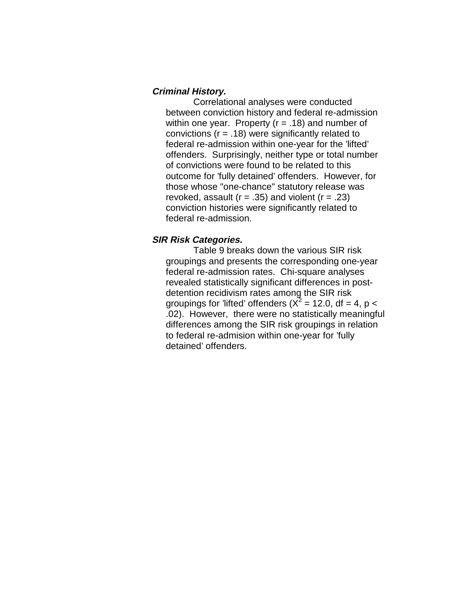#### **Criminal History.**

Correlational analyses were conducted between conviction history and federal re-admission within one year. Property  $(r = .18)$  and number of convictions ( $r = .18$ ) were significantly related to federal re-admission within one-year for the 'lifted' offenders. Surprisingly, neither type or total number of convictions were found to be related to this outcome for 'fully detained' offenders. However, for those whose "one-chance" statutory release was revoked, assault ( $r = .35$ ) and violent ( $r = .23$ ) conviction histories were significantly related to federal re-admission.

#### **SIR Risk Categories.**

Table 9 breaks down the various SIR risk groupings and presents the corresponding one-year federal re-admission rates. Chi-square analyses revealed statistically significant differences in postdetention recidivism rates among the SIR risk groupings for 'lifted' offenders ( $X^2$  = 12.0, df = 4, p < .02). However, there were no statistically meaningful differences among the SIR risk groupings in relation to federal re-admision within one-year for 'fully detained' offenders.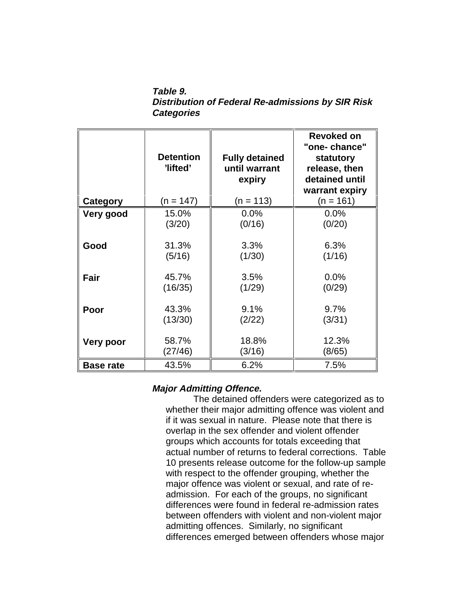**Table 9. Distribution of Federal Re-admissions by SIR Risk Categories**

|                  | <b>Detention</b><br>'lifted' | <b>Fully detained</b><br>until warrant<br>expiry | Revoked on<br>"one-chance"<br>statutory<br>release, then<br>detained until<br>warrant expiry |
|------------------|------------------------------|--------------------------------------------------|----------------------------------------------------------------------------------------------|
| Category         | (n = 147)                    | $(n = 113)$                                      | $(n = 161)$                                                                                  |
| Very good        | 15.0%                        | 0.0%                                             | $0.0\%$                                                                                      |
|                  | (3/20)                       | (0/16)                                           | (0/20)                                                                                       |
| Good             | 31.3%                        | 3.3%                                             | 6.3%                                                                                         |
|                  | (5/16)                       | (1/30)                                           | (1/16)                                                                                       |
| Fair             | 45.7%                        | 3.5%                                             | 0.0%                                                                                         |
|                  | (16/35)                      | (1/29)                                           | (0/29)                                                                                       |
| Poor             | 43.3%                        | 9.1%                                             | 9.7%                                                                                         |
|                  | (13/30)                      | (2/22)                                           | (3/31)                                                                                       |
| <b>Very poor</b> | 58.7%                        | 18.8%                                            | 12.3%                                                                                        |
|                  | (27/46)                      | (3/16)                                           | (8/65)                                                                                       |
| <b>Base rate</b> | 43.5%                        | 6.2%                                             | 7.5%                                                                                         |

### **Major Admitting Offence.**

The detained offenders were categorized as to whether their major admitting offence was violent and if it was sexual in nature. Please note that there is overlap in the sex offender and violent offender groups which accounts for totals exceeding that actual number of returns to federal corrections. Table 10 presents release outcome for the follow-up sample with respect to the offender grouping, whether the major offence was violent or sexual, and rate of readmission. For each of the groups, no significant differences were found in federal re-admission rates between offenders with violent and non-violent major admitting offences. Similarly, no significant differences emerged between offenders whose major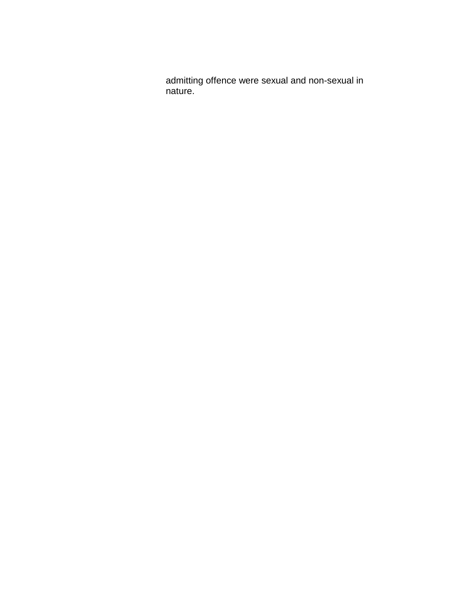admitting offence were sexual and non-sexual in nature.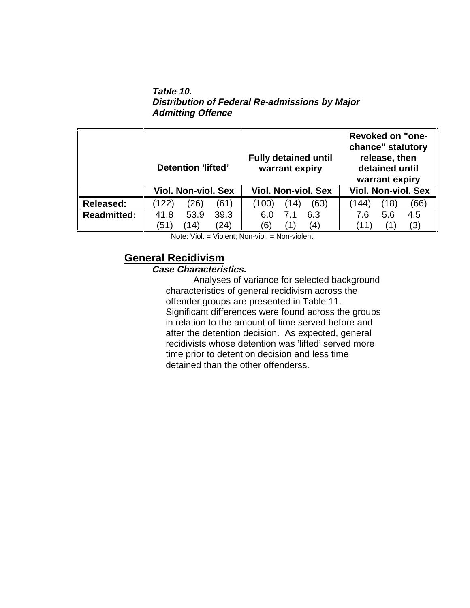**Table 10. Distribution of Federal Re-admissions by Major Admitting Offence**

|                    | Detention 'lifted'         | <b>Fully detained until</b><br>warrant expiry | <b>Revoked on "one-</b><br>chance" statutory<br>release, then<br>detained until<br>warrant expiry |
|--------------------|----------------------------|-----------------------------------------------|---------------------------------------------------------------------------------------------------|
|                    | <b>Viol. Non-viol. Sex</b> | <b>Viol. Non-viol. Sex</b>                    | <b>Viol. Non-viol. Sex</b>                                                                        |
| <b>Released:</b>   | (26)<br>(61)<br>(122)      | (100)<br>(63)<br>(14)                         | (18)<br>(66)<br>$\langle 144 \rangle$                                                             |
| <b>Readmitted:</b> | 53.9<br>39.3<br>41.8       | 6.3<br>7.1<br>6.0                             | 5.6<br>4.5<br>7.6                                                                                 |
|                    | (24)<br>(51)<br>14)        | (6)<br>$\left( 4\right)$                      | (3)                                                                                               |

Note: Viol. = Violent; Non-viol. = Non-violent.

## **General Recidivism**

### **Case Characteristics.**

Analyses of variance for selected background characteristics of general recidivism across the offender groups are presented in Table 11. Significant differences were found across the groups in relation to the amount of time served before and after the detention decision. As expected, general recidivists whose detention was 'lifted' served more time prior to detention decision and less time detained than the other offenderss.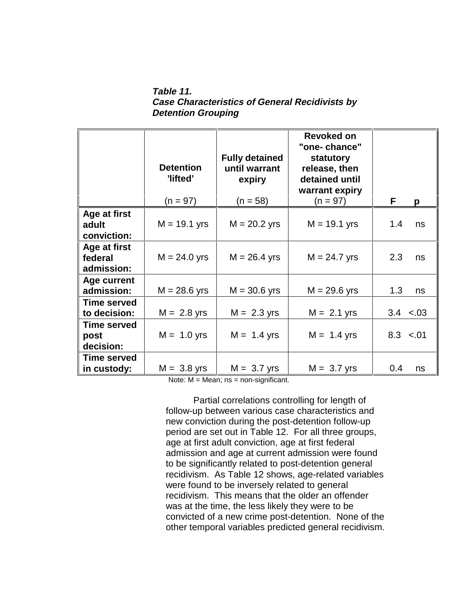**Table 11. Case Characteristics of General Recidivists by Detention Grouping**

|                                         | <b>Detention</b><br>'lifted' | <b>Fully detained</b><br>until warrant<br>expiry | Revoked on<br>"one-chance"<br>statutory<br>release, then<br>detained until<br>warrant expiry |               |
|-----------------------------------------|------------------------------|--------------------------------------------------|----------------------------------------------------------------------------------------------|---------------|
|                                         | $(n = 97)$                   | $(n = 58)$                                       | $(n = 97)$                                                                                   | F<br>p        |
| Age at first<br>adult<br>conviction:    | $M = 19.1$ yrs               | $M = 20.2$ yrs                                   | $M = 19.1$ yrs                                                                               | 1.4<br>ns     |
| Age at first<br>federal<br>admission:   | $M = 24.0$ yrs               | $M = 26.4$ yrs                                   | $M = 24.7$ yrs                                                                               | 2.3<br>ns     |
| Age current<br>admission:               | $M = 28.6$ yrs               | $M = 30.6$ yrs                                   | $M = 29.6$ yrs                                                                               | 1.3<br>ns     |
| <b>Time served</b><br>to decision:      | $M = 2.8$ yrs                | $M = 2.3$ yrs                                    | $M = 2.1$ yrs                                                                                | $3.4 \le .03$ |
| <b>Time served</b><br>post<br>decision: | $M = 1.0$ yrs                | $M = 1.4$ yrs                                    | $M = 1.4$ yrs                                                                                | $8.3 \le .01$ |
| <b>Time served</b><br>in custody:       | $M = 3.8$ yrs                | $M = 3.7$ yrs                                    | $M = 3.7$ yrs                                                                                | 0.4<br>ns     |

Note: M = Mean; ns = non-significant.

Partial correlations controlling for length of follow-up between various case characteristics and new conviction during the post-detention follow-up period are set out in Table 12. For all three groups, age at first adult conviction, age at first federal admission and age at current admission were found to be significantly related to post-detention general recidivism. As Table 12 shows, age-related variables were found to be inversely related to general recidivism. This means that the older an offender was at the time, the less likely they were to be convicted of a new crime post-detention. None of the other temporal variables predicted general recidivism.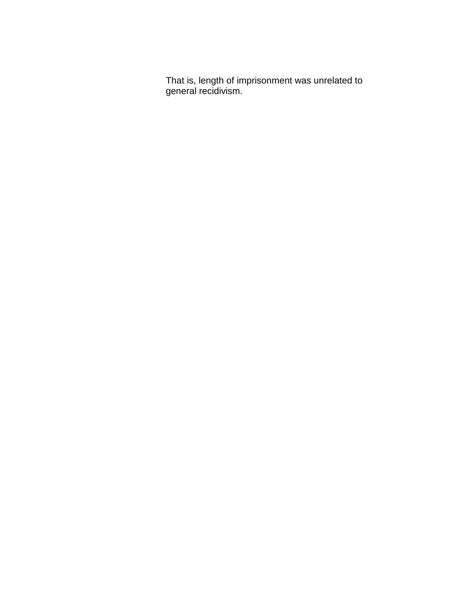That is, length of imprisonment was unrelated to general recidivism.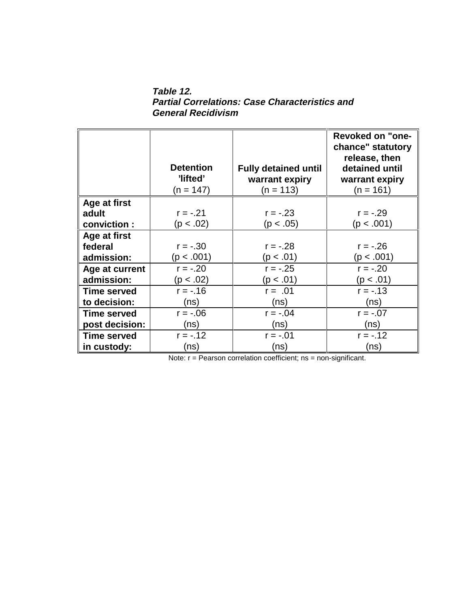**Table 12. Partial Correlations: Case Characteristics and General Recidivism**

|                    | <b>Detention</b><br>'lifted'<br>(n = 147) | <b>Fully detained until</b><br>warrant expiry<br>$(n = 113)$ | <b>Revoked on "one-</b><br>chance" statutory<br>release, then<br>detained until<br>warrant expiry<br>$(n = 161)$ |
|--------------------|-------------------------------------------|--------------------------------------------------------------|------------------------------------------------------------------------------------------------------------------|
|                    |                                           |                                                              |                                                                                                                  |
| Age at first       | $r = -.21$                                | $r = -.23$                                                   | $r = -.29$                                                                                                       |
| adult              | (p < .02)                                 | (p < .05)                                                    | (p < .001)                                                                                                       |
| conviction:        |                                           |                                                              |                                                                                                                  |
| Age at first       |                                           |                                                              |                                                                                                                  |
| federal            | $r = -.30$                                | $r = -.28$                                                   | $r = -.26$                                                                                                       |
| admission:         | (p < .001)                                | (p < .01)                                                    | (p < .001)                                                                                                       |
| Age at current     | $r = -.20$                                | $r = -.25$                                                   | $r = -.20$                                                                                                       |
| admission:         | (p < .02)                                 | (p < .01)                                                    | (p < .01)                                                                                                        |
| <b>Time served</b> | $r = -0.16$                               | $r = .01$                                                    | $r = -.13$                                                                                                       |
| to decision:       | (ns)                                      | (ns)                                                         | (ns)                                                                                                             |
| <b>Time served</b> | $r = -06$                                 | $r = -.04$                                                   | $r = -.07$                                                                                                       |
| post decision:     | (ns)                                      | (ns)                                                         | (ns)                                                                                                             |
| <b>Time served</b> | $r = -.12$                                | $r = -.01$                                                   | $r = -.12$                                                                                                       |
| in custody:        | (ns)                                      | (ns)                                                         | (ns)                                                                                                             |

Note: r = Pearson correlation coefficient; ns = non-significant.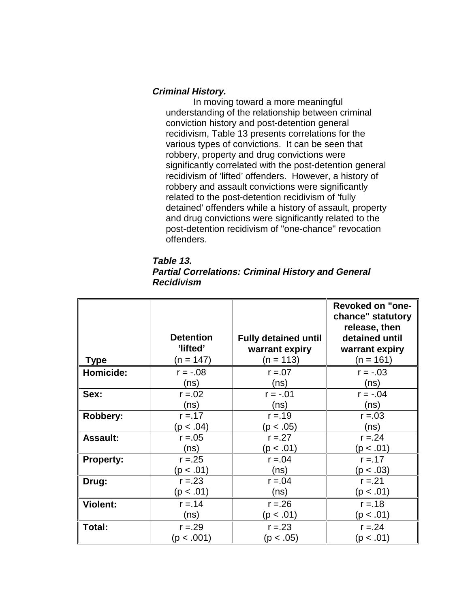#### **Criminal History.**

In moving toward a more meaningful understanding of the relationship between criminal conviction history and post-detention general recidivism, Table 13 presents correlations for the various types of convictions. It can be seen that robbery, property and drug convictions were significantly correlated with the post-detention general recidivism of 'lifted' offenders. However, a history of robbery and assault convictions were significantly related to the post-detention recidivism of 'fully detained' offenders while a history of assault, property and drug convictions were significantly related to the post-detention recidivism of "one-chance" revocation offenders.

| Table 13.                                                 |  |
|-----------------------------------------------------------|--|
| <b>Partial Correlations: Criminal History and General</b> |  |
| <b>Recidivism</b>                                         |  |

|                  |                  |                             | <b>Revoked on "one-</b> |
|------------------|------------------|-----------------------------|-------------------------|
|                  |                  |                             | chance" statutory       |
|                  |                  |                             | release, then           |
|                  | <b>Detention</b> | <b>Fully detained until</b> | detained until          |
|                  | 'lifted'         | warrant expiry              | warrant expiry          |
| <b>Type</b>      | (n = 147)        | $(n = 113)$                 | $(n = 161)$             |
| Homicide:        | $r = -.08$       | $r = 0.07$                  | $r = -.03$              |
|                  | (ns)             | (ns)                        | (ns)                    |
| Sex:             | $r = 0.02$       | $r = -.01$                  | $r = -.04$              |
|                  | (ns)             | (ns)                        | (ns)                    |
| Robbery:         | $r = 17$         | $r = 19$                    | $r = 0.03$              |
|                  | (p < .04)        | (p < .05)                   | (ns)                    |
| <b>Assault:</b>  | $r = 0.05$       | $r = 27$                    | $r = 24$                |
|                  | (ns)             | (p < .01)                   | (p < .01)               |
| <b>Property:</b> | $r = 25$         | $r = 0.04$                  | $r = 17$                |
|                  | (10. > p)        | (ns)                        | (p < .03)               |
| Drug:            | $r = 23$         | $r = 0.04$                  | $r = 21$                |
|                  | (p < .01)        | (ns)                        | (p < .01)               |
| <b>Violent:</b>  | $r = 14$         | $r = 26$                    | $r = 18$                |
|                  | (ns)             | (10. > p)                   | (p < .01)               |
| Total:           | $r = 29$         | $r = 23$                    | $r = 24$                |
|                  | (p < .001)       | (p < .05)                   | (p < .01)               |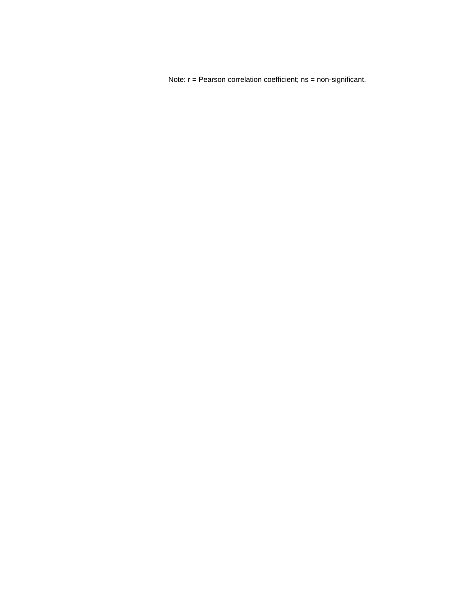Note: r = Pearson correlation coefficient; ns = non-significant.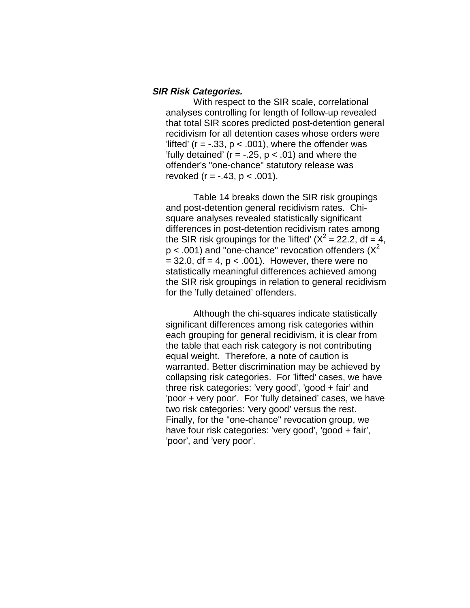#### **SIR Risk Categories.**

With respect to the SIR scale, correlational analyses controlling for length of follow-up revealed that total SIR scores predicted post-detention general recidivism for all detention cases whose orders were 'lifted' ( $r = -.33$ ,  $p < .001$ ), where the offender was 'fully detained' ( $r = -.25$ ,  $p < .01$ ) and where the offender's "one-chance" statutory release was revoked ( $r = -.43$ ,  $p < .001$ ).

Table 14 breaks down the SIR risk groupings and post-detention general recidivism rates. Chisquare analyses revealed statistically significant differences in post-detention recidivism rates among the SIR risk groupings for the 'lifted' ( $X^2 = 22.2$ , df = 4,  $p < .001$ ) and "one-chance" revocation offenders ( $X^2$  $= 32.0$ , df  $= 4$ ,  $p < .001$ ). However, there were no statistically meaningful differences achieved among the SIR risk groupings in relation to general recidivism for the 'fully detained' offenders.

Although the chi-squares indicate statistically significant differences among risk categories within each grouping for general recidivism, it is clear from the table that each risk category is not contributing equal weight. Therefore, a note of caution is warranted. Better discrimination may be achieved by collapsing risk categories. For 'lifted' cases, we have three risk categories: 'very good', 'good + fair' and 'poor + very poor'. For 'fully detained' cases, we have two risk categories: 'very good' versus the rest. Finally, for the "one-chance" revocation group, we have four risk categories: 'very good', 'good + fair', 'poor', and 'very poor'.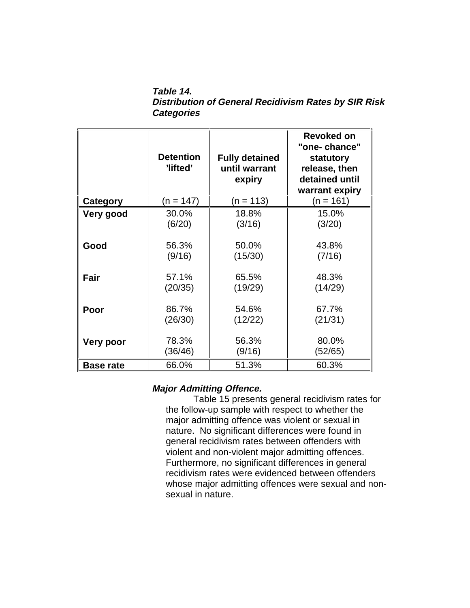**Table 14. Distribution of General Recidivism Rates by SIR Risk Categories**

|                  | <b>Detention</b><br>'lifted' | <b>Fully detained</b><br>until warrant<br>expiry | Revoked on<br>"one- chance"<br>statutory<br>release, then<br>detained until<br>warrant expiry |
|------------------|------------------------------|--------------------------------------------------|-----------------------------------------------------------------------------------------------|
| Category         | (n = 147)                    | $(n = 113)$                                      | (n = 161)                                                                                     |
| Very good        | 30.0%                        | 18.8%                                            | 15.0%                                                                                         |
|                  | (6/20)                       | (3/16)                                           | (3/20)                                                                                        |
| Good             | 56.3%                        | 50.0%                                            | 43.8%                                                                                         |
|                  | (9/16)                       | (15/30)                                          | (7/16)                                                                                        |
| Fair             | 57.1%                        | 65.5%                                            | 48.3%                                                                                         |
|                  | (20/35)                      | (19/29)                                          | (14/29)                                                                                       |
| Poor             | 86.7%                        | 54.6%                                            | 67.7%                                                                                         |
|                  | (26/30)                      | (12/22)                                          | (21/31)                                                                                       |
| Very poor        | 78.3%                        | 56.3%                                            | 80.0%                                                                                         |
|                  | (36/46)                      | (9/16)                                           | (52/65)                                                                                       |
| <b>Base rate</b> | 66.0%                        | 51.3%                                            | 60.3%                                                                                         |

### **Major Admitting Offence.**

Table 15 presents general recidivism rates for the follow-up sample with respect to whether the major admitting offence was violent or sexual in nature. No significant differences were found in general recidivism rates between offenders with violent and non-violent major admitting offences. Furthermore, no significant differences in general recidivism rates were evidenced between offenders whose major admitting offences were sexual and nonsexual in nature.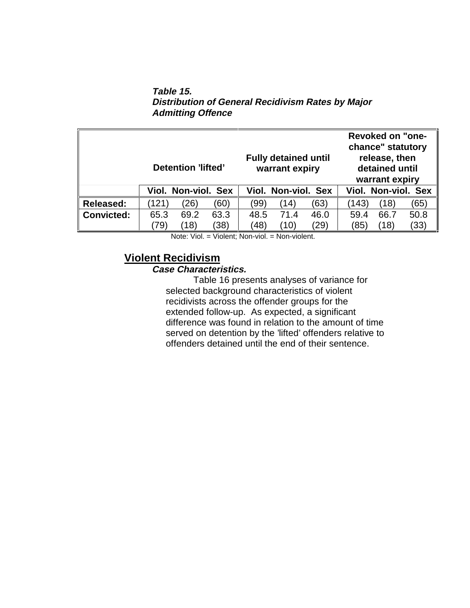**Table 15. Distribution of General Recidivism Rates by Major Admitting Offence**

|                   | Detention 'lifted' |                     |      | <b>Fully detained until</b><br>warrant expiry |                     | <b>Revoked on "one-</b><br>chance" statutory<br>release, then<br>detained until<br>warrant expiry |       |      |                     |
|-------------------|--------------------|---------------------|------|-----------------------------------------------|---------------------|---------------------------------------------------------------------------------------------------|-------|------|---------------------|
|                   |                    | Viol. Non-viol. Sex |      |                                               | Viol. Non-viol. Sex |                                                                                                   |       |      | Viol. Non-viol. Sex |
| <b>Released:</b>  | (121)              | $^{\prime}26)$      | (60) | (99)                                          | (14)                | (63)                                                                                              | (143) | (18) | (65)                |
| <b>Convicted:</b> | 65.3               | 69.2                | 63.3 | 48.5                                          | 71.4                | 46.0                                                                                              | 59.4  | 66.7 | 50.8                |
|                   | 79)                | (18)                | 38)  | (48)                                          | (10)                | (29)                                                                                              | (85   | (18) | (33)                |

Note: Viol. = Violent; Non-viol. = Non-violent.

## **Violent Recidivism**

### **Case Characteristics.**

Table 16 presents analyses of variance for selected background characteristics of violent recidivists across the offender groups for the extended follow-up. As expected, a significant difference was found in relation to the amount of time served on detention by the 'lifted' offenders relative to offenders detained until the end of their sentence.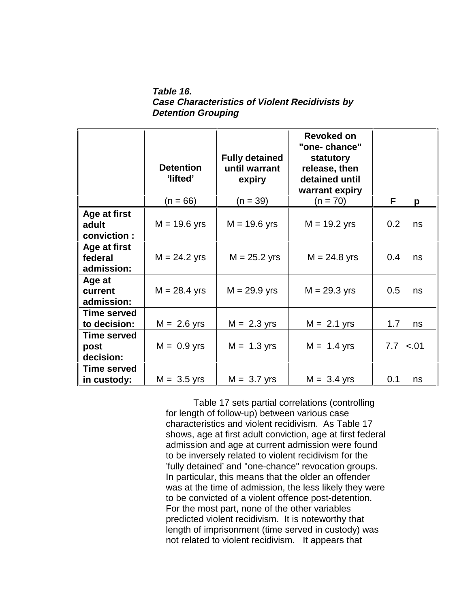**Table 16. Case Characteristics of Violent Recidivists by Detention Grouping**

|                                       | <b>Detention</b><br>'lifted'<br>$(n = 66)$ | <b>Fully detained</b><br>until warrant<br>expiry<br>$(n = 39)$ | Revoked on<br>"one-chance"<br>statutory<br>release, then<br>detained until<br>warrant expiry<br>$(n = 70)$ | F<br>p        |
|---------------------------------------|--------------------------------------------|----------------------------------------------------------------|------------------------------------------------------------------------------------------------------------|---------------|
| Age at first<br>adult<br>conviction:  | $M = 19.6$ yrs                             | $M = 19.6$ yrs                                                 | $M = 19.2$ yrs                                                                                             | 0.2<br>ns     |
| Age at first<br>federal<br>admission: | $M = 24.2$ yrs                             | $M = 25.2$ yrs                                                 | $M = 24.8$ yrs                                                                                             | 0.4<br>ns     |
| Age at<br>current<br>admission:       | $M = 28.4$ yrs                             | $M = 29.9$ yrs                                                 | $M = 29.3$ yrs                                                                                             | 0.5<br>ns     |
| <b>Time served</b><br>to decision:    | $M = 2.6$ yrs                              | $M = 2.3$ yrs                                                  | $M = 2.1$ yrs                                                                                              | 1.7<br>ns     |
| Time served<br>post<br>decision:      | $M = 0.9$ yrs                              | $M = 1.3$ yrs                                                  | $M = 1.4$ yrs                                                                                              | $7.7 \le .01$ |
| <b>Time served</b><br>in custody:     | $M = 3.5$ yrs                              | $M = 3.7$ yrs                                                  | $M = 3.4$ yrs                                                                                              | 0.1<br>ns     |

Table 17 sets partial correlations (controlling for length of follow-up) between various case characteristics and violent recidivism. As Table 17 shows, age at first adult conviction, age at first federal admission and age at current admission were found to be inversely related to violent recidivism for the 'fully detained' and "one-chance" revocation groups. In particular, this means that the older an offender was at the time of admission, the less likely they were to be convicted of a violent offence post-detention. For the most part, none of the other variables predicted violent recidivism. It is noteworthy that length of imprisonment (time served in custody) was not related to violent recidivism. It appears that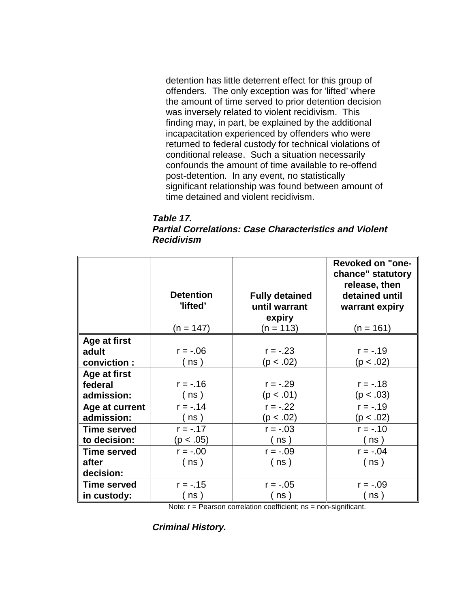detention has little deterrent effect for this group of offenders. The only exception was for 'lifted' where the amount of time served to prior detention decision was inversely related to violent recidivism. This finding may, in part, be explained by the additional incapacitation experienced by offenders who were returned to federal custody for technical violations of conditional release. Such a situation necessarily confounds the amount of time available to re-offend post-detention. In any event, no statistically significant relationship was found between amount of time detained and violent recidivism.

#### **Table 17. Partial Correlations: Case Characteristics and Violent Recidivism**

|                    | <b>Detention</b><br>'lifted'<br>$(n = 147)$ | <b>Fully detained</b><br>until warrant<br>expiry<br>$(n = 113)$ | <b>Revoked on "one-</b><br>chance" statutory<br>release, then<br>detained until<br>warrant expiry<br>$(n = 161)$ |
|--------------------|---------------------------------------------|-----------------------------------------------------------------|------------------------------------------------------------------------------------------------------------------|
| Age at first       |                                             |                                                                 |                                                                                                                  |
| adult              | $r = -.06$                                  | $r = -.23$                                                      | $r = -.19$                                                                                                       |
| conviction :       | ( ns )                                      | (p < .02)                                                       | (p < .02)                                                                                                        |
| Age at first       |                                             |                                                                 |                                                                                                                  |
| federal            | $r = -0.16$                                 | $r = -.29$                                                      | $r = -.18$                                                                                                       |
| admission:         | (ns)                                        | (p < .01)                                                       | (p < .03)                                                                                                        |
| Age at current     | $r = -.14$                                  | $r = -.22$                                                      | $r = -.19$                                                                                                       |
| admission:         | (ns)                                        | (p < .02)                                                       | (p < .02)                                                                                                        |
| <b>Time served</b> | $r = -.17$                                  | $r = -.03$                                                      | $r = -.10$                                                                                                       |
| to decision:       | (p < .05)                                   | (ns)                                                            | ( ns )                                                                                                           |
| <b>Time served</b> | $r = -.00$                                  | $r = -.09$                                                      | $r = -.04$                                                                                                       |
| after              | ( ns )                                      | (ns)                                                            | (ns)                                                                                                             |
| decision:          |                                             |                                                                 |                                                                                                                  |
| <b>Time served</b> | $r = -.15$                                  | $r = -.05$                                                      | $r = -.09$                                                                                                       |
| in custody:        | ns)                                         | ns)                                                             | (ns)                                                                                                             |

Note: r = Pearson correlation coefficient; ns = non-significant.

**Criminal History.**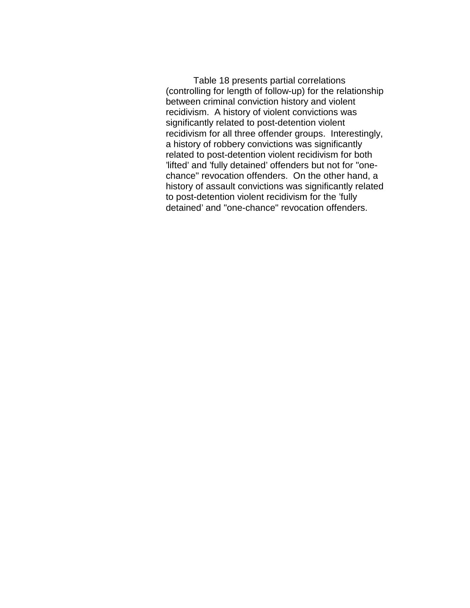Table 18 presents partial correlations (controlling for length of follow-up) for the relationship between criminal conviction history and violent recidivism. A history of violent convictions was significantly related to post-detention violent recidivism for all three offender groups. Interestingly, a history of robbery convictions was significantly related to post-detention violent recidivism for both 'lifted' and 'fully detained' offenders but not for "onechance" revocation offenders. On the other hand, a history of assault convictions was significantly related to post-detention violent recidivism for the 'fully detained' and "one-chance" revocation offenders.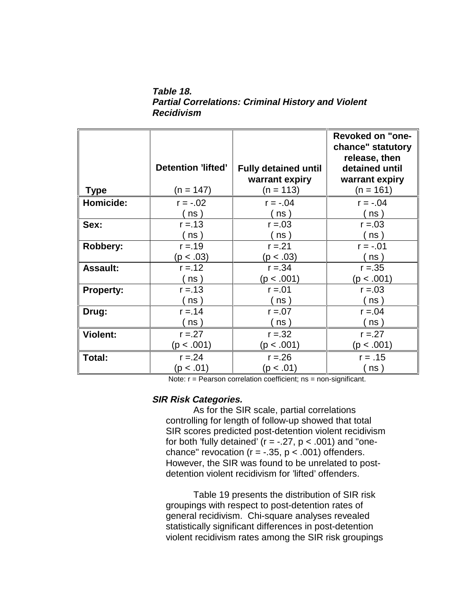**Table 18. Partial Correlations: Criminal History and Violent Recidivism**

|                  | Detention 'lifted' | <b>Fully detained until</b> | <b>Revoked on "one-</b><br>chance" statutory<br>release, then<br>detained until |
|------------------|--------------------|-----------------------------|---------------------------------------------------------------------------------|
|                  |                    | warrant expiry              | warrant expiry                                                                  |
| <b>Type</b>      | $(n = 147)$        | $(n = 113)$                 | $(n = 161)$                                                                     |
| Homicide:        | $r = -.02$         | $r = -0.04$                 | $r = -.04$                                                                      |
|                  | ns )               | ns)                         | ns)                                                                             |
| Sex:             | $r = 13$           | $r = 0.03$                  | $r = 0.03$                                                                      |
|                  | ns )               | ns)                         | ns )                                                                            |
| Robbery:         | $r = 19$           | $r = 21$                    | $r = -01$                                                                       |
|                  | (p < .03)          | (p < .03)                   | (ns)                                                                            |
| <b>Assault:</b>  | $r = 12$           | $r = 34$                    | $r = 35$                                                                        |
|                  | ns )               | (p < .001)                  | (p < .001)                                                                      |
| <b>Property:</b> | $r = 13$           | $r = 01$                    | $r = 0.03$                                                                      |
|                  | ns)                | ns)                         | ns)                                                                             |
| Drug:            | $r = 14$           | $r = 0.07$                  | $r = 0.04$                                                                      |
|                  | ns)                | ns)                         | ns)                                                                             |
| <b>Violent:</b>  | $r = 27$           | $r = 32$                    | $r = 27$                                                                        |
|                  | (p < .001)         | (p < .001)                  | (p < .001)                                                                      |
| Total:           | $r = 24$           | $r = 26$                    | $r = .15$                                                                       |
|                  | (p < .01)          | (p < .01)                   | (ns)                                                                            |

Note: r = Pearson correlation coefficient; ns = non-significant.

#### **SIR Risk Categories.**

As for the SIR scale, partial correlations controlling for length of follow-up showed that total SIR scores predicted post-detention violent recidivism for both 'fully detained' ( $r = -.27$ ,  $p < .001$ ) and "onechance" revocation ( $r = -.35$ ,  $p < .001$ ) offenders. However, the SIR was found to be unrelated to postdetention violent recidivism for 'lifted' offenders.

Table 19 presents the distribution of SIR risk groupings with respect to post-detention rates of general recidivism. Chi-square analyses revealed statistically significant differences in post-detention violent recidivism rates among the SIR risk groupings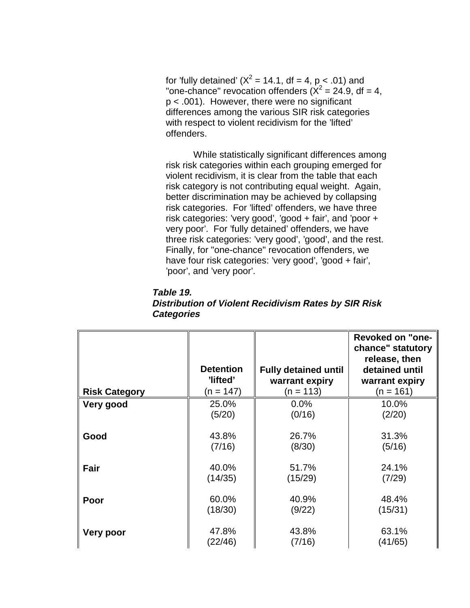for 'fully detained' ( $X^2$  = 14.1, df = 4, p < .01) and "one-chance" revocation offenders  $(X^2 = 24.9, df = 4,$ p < .001). However, there were no significant differences among the various SIR risk categories with respect to violent recidivism for the 'lifted' offenders.

While statistically significant differences among risk risk categories within each grouping emerged for violent recidivism, it is clear from the table that each risk category is not contributing equal weight. Again, better discrimination may be achieved by collapsing risk categories. For 'lifted' offenders, we have three risk categories: 'very good', 'good + fair', and 'poor + very poor'. For 'fully detained' offenders, we have three risk categories: 'very good', 'good', and the rest. Finally, for "one-chance" revocation offenders, we have four risk categories: 'very good', 'good + fair', 'poor', and 'very poor'.

| Table 19.                                            |  |
|------------------------------------------------------|--|
| Distribution of Violent Recidivism Rates by SIR Risk |  |
| <b>Categories</b>                                    |  |

|                      |                  |                             | <b>Revoked on "one-</b><br>chance" statutory<br>release, then |
|----------------------|------------------|-----------------------------|---------------------------------------------------------------|
|                      | <b>Detention</b> | <b>Fully detained until</b> | detained until                                                |
|                      | 'lifted'         | warrant expiry              | warrant expiry                                                |
| <b>Risk Category</b> | (n = 147)        | $(n = 113)$                 | $(n = 161)$                                                   |
| Very good            | 25.0%            | 0.0%                        | 10.0%                                                         |
|                      | (5/20)           | (0/16)                      | (2/20)                                                        |
| Good                 | 43.8%            | 26.7%                       | 31.3%                                                         |
|                      | (7/16)           | (8/30)                      | (5/16)                                                        |
| Fair                 | 40.0%            | 51.7%                       | 24.1%                                                         |
|                      | (14/35)          | (15/29)                     | (7/29)                                                        |
| Poor                 | 60.0%            | 40.9%                       | 48.4%                                                         |
|                      | (18/30)          | (9/22)                      | (15/31)                                                       |
| <b>Very poor</b>     | 47.8%            | 43.8%                       | 63.1%                                                         |
|                      | (22/46)          | (7/16)                      | (41/65)                                                       |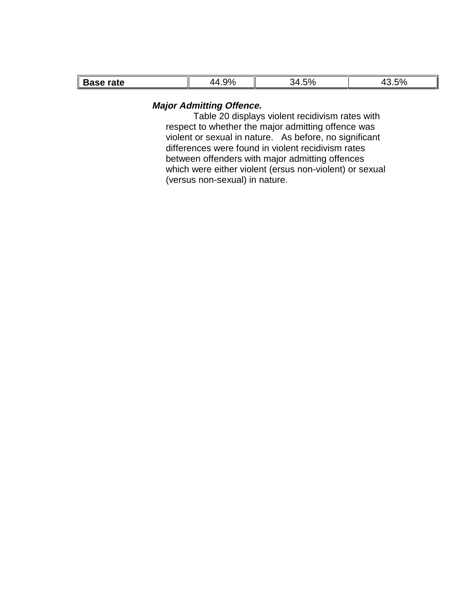| rate<br>$-200 -$<br>ъ.<br>. <del>.</del><br>_ _ _ _ _ _ | ററ<br>$\cdot$ $\cdot$ | EOZ.<br>70<br>.∪ | $-\sim$<br>7 U<br>. . |
|---------------------------------------------------------|-----------------------|------------------|-----------------------|

#### **Major Admitting Offence.**

Table 20 displays violent recidivism rates with respect to whether the major admitting offence was violent or sexual in nature. As before, no significant differences were found in violent recidivism rates between offenders with major admitting offences which were either violent (ersus non-violent) or sexual (versus non-sexual) in nature.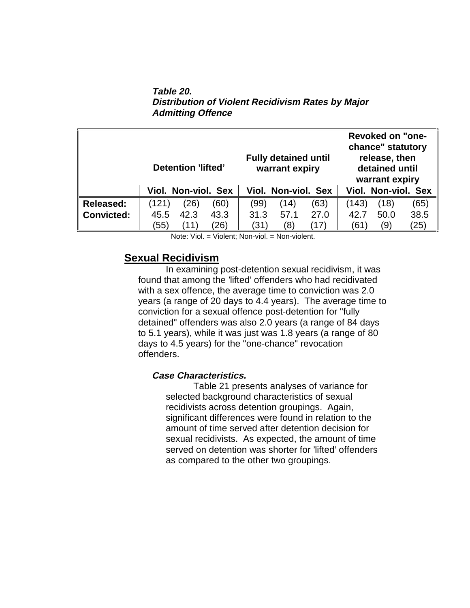**Table 20. Distribution of Violent Recidivism Rates by Major Admitting Offence**

|                   | Detention 'lifted'  | <b>Fully detained until</b><br>warrant expiry | <b>Revoked on "one-</b><br>chance" statutory<br>release, then<br>detained until<br>warrant expiry |  |
|-------------------|---------------------|-----------------------------------------------|---------------------------------------------------------------------------------------------------|--|
|                   | Viol. Non-viol. Sex | Viol. Non-viol. Sex                           | Viol. Non-viol. Sex                                                                               |  |
| <b>Released:</b>  | (121                | (63)                                          | (143)                                                                                             |  |
|                   | $^{\prime}26)$      | (99)                                          | (18)                                                                                              |  |
|                   | (60)                | (14)                                          | (65)                                                                                              |  |
| <b>Convicted:</b> | 42.3                | 57.1                                          | 38.5                                                                                              |  |
|                   | 43.3                | 27.0                                          | 50.0                                                                                              |  |
|                   | 45.5                | 31.3                                          | 42.7                                                                                              |  |
|                   | (55)                | (31)                                          | (25)                                                                                              |  |
|                   | (26)                | (8)                                           | (61                                                                                               |  |
|                   | (11)                | (17)                                          | (9)                                                                                               |  |

Note: Viol. = Violent; Non-viol. = Non-violent.

### **Sexual Recidivism**

In examining post-detention sexual recidivism, it was found that among the 'lifted' offenders who had recidivated with a sex offence, the average time to conviction was 2.0 years (a range of 20 days to 4.4 years). The average time to conviction for a sexual offence post-detention for "fully detained" offenders was also 2.0 years (a range of 84 days to 5.1 years), while it was just was 1.8 years (a range of 80 days to 4.5 years) for the "one-chance" revocation offenders.

### **Case Characteristics.**

Table 21 presents analyses of variance for selected background characteristics of sexual recidivists across detention groupings. Again, significant differences were found in relation to the amount of time served after detention decision for sexual recidivists. As expected, the amount of time served on detention was shorter for 'lifted' offenders as compared to the other two groupings.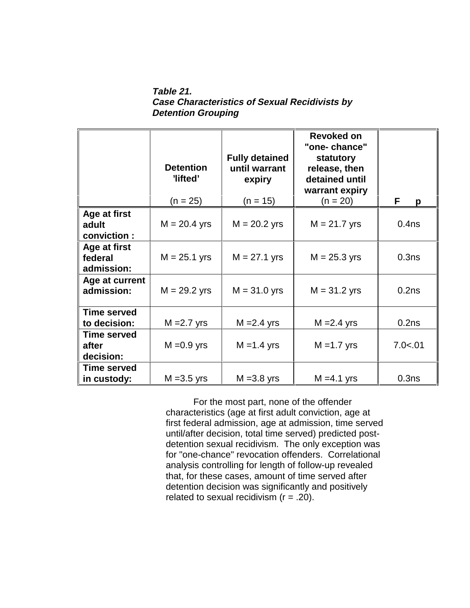**Table 21. Case Characteristics of Sexual Recidivists by Detention Grouping**

|                              | <b>Detention</b><br>'lifted'<br>$(n = 25)$ | <b>Fully detained</b><br>until warrant<br>expiry<br>$(n = 15)$ | Revoked on<br>"one-chance"<br>statutory<br>release, then<br>detained until<br>warrant expiry<br>$(n = 20)$ | F<br>р            |
|------------------------------|--------------------------------------------|----------------------------------------------------------------|------------------------------------------------------------------------------------------------------------|-------------------|
| Age at first                 |                                            |                                                                |                                                                                                            |                   |
| adult                        | $M = 20.4$ yrs                             | $M = 20.2$ yrs                                                 | $M = 21.7$ yrs                                                                                             | 0.4 <sub>ns</sub> |
| conviction:                  |                                            |                                                                |                                                                                                            |                   |
| Age at first                 |                                            |                                                                |                                                                                                            |                   |
| federal                      | $M = 25.1$ yrs                             | $M = 27.1$ yrs                                                 | $M = 25.3$ yrs                                                                                             | 0.3ns             |
| admission:                   |                                            |                                                                |                                                                                                            |                   |
| Age at current<br>admission: | $M = 29.2$ yrs                             | $M = 31.0$ yrs                                                 | $M = 31.2$ yrs                                                                                             | 0.2ns             |
|                              |                                            |                                                                |                                                                                                            |                   |
| <b>Time served</b>           |                                            |                                                                |                                                                                                            |                   |
| to decision:                 | $M = 2.7$ yrs                              | $M = 2.4$ yrs                                                  | $M = 2.4$ yrs                                                                                              | 0.2ns             |
| <b>Time served</b>           |                                            |                                                                |                                                                                                            |                   |
| after                        | $M = 0.9$ yrs                              | $M = 1.4$ yrs                                                  | $M = 1.7$ yrs                                                                                              | 7.0 < .01         |
| decision:                    |                                            |                                                                |                                                                                                            |                   |
| <b>Time served</b>           |                                            |                                                                |                                                                                                            |                   |
| in custody:                  | $M = 3.5$ yrs                              | $M = 3.8$ yrs                                                  | $M = 4.1$ yrs                                                                                              | 0.3ns             |

For the most part, none of the offender characteristics (age at first adult conviction, age at first federal admission, age at admission, time served until/after decision, total time served) predicted postdetention sexual recidivism. The only exception was for "one-chance" revocation offenders. Correlational analysis controlling for length of follow-up revealed that, for these cases, amount of time served after detention decision was significantly and positively related to sexual recidivism  $(r = .20)$ .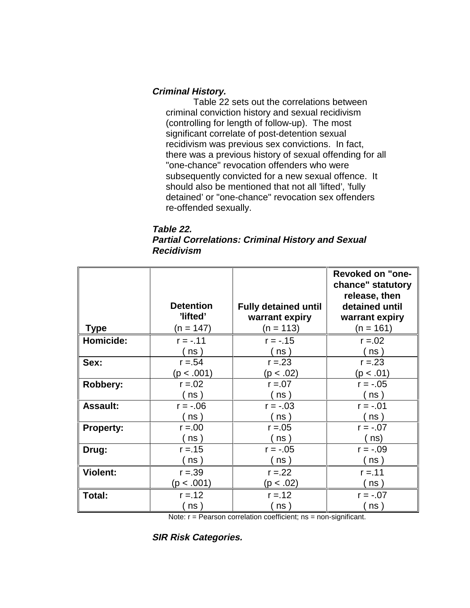### **Criminal History.**

Table 22 sets out the correlations between criminal conviction history and sexual recidivism (controlling for length of follow-up). The most significant correlate of post-detention sexual recidivism was previous sex convictions. In fact, there was a previous history of sexual offending for all "one-chance" revocation offenders who were subsequently convicted for a new sexual offence. It should also be mentioned that not all 'lifted', 'fully detained' or "one-chance" revocation sex offenders re-offended sexually.

| Table 22.                                                |
|----------------------------------------------------------|
| <b>Partial Correlations: Criminal History and Sexual</b> |
| Recidivism                                               |

|                  |                  |                             | <b>Revoked on "one-</b><br>chance" statutory |
|------------------|------------------|-----------------------------|----------------------------------------------|
|                  |                  |                             | release, then                                |
|                  | <b>Detention</b> | <b>Fully detained until</b> | detained until                               |
|                  | 'lifted'         | warrant expiry              | warrant expiry                               |
| Type             | $(n = 147)$      | $(n = 113)$                 | $(n = 161)$                                  |
| Homicide:        | $r = -.11$       | $r = -.15$                  | $r = 0.02$                                   |
|                  | ์ ns )           | ns)                         | ( ns )                                       |
| Sex:             | $r = 54$         | $r = 23$                    | $r = 23$                                     |
|                  | (p < .001)       | (p < .02)                   | (p < .01)                                    |
| Robbery:         | $r = 0.02$       | $r = 0.07$                  | $r = -.05$                                   |
|                  | ns)              | ns)                         | ns)                                          |
| <b>Assault:</b>  | $r = -06$        | $r = -.03$                  | $r = -.01$                                   |
|                  | (ns)             | (ns)                        | ( ns )                                       |
| <b>Property:</b> | $r = 0.00$       | $r = 0.05$                  | $r = -07$                                    |
|                  | ns )             | ns)                         | ns)                                          |
| Drug:            | $r = 15$         | $r = -.05$                  | $r = -.09$                                   |
|                  | ns               | ns)                         | ns )                                         |
| <b>Violent:</b>  | $r = 39$         | $r = 22$                    | $r = 11$                                     |
|                  | (p < .001)       | (p < .02)                   | ์ ns )                                       |
| Total:           | $r = 12$         | $r = 12$                    | $r = -07$                                    |
|                  | ns               | ns                          | ns                                           |

Note: r = Pearson correlation coefficient; ns = non-significant.

**SIR Risk Categories.**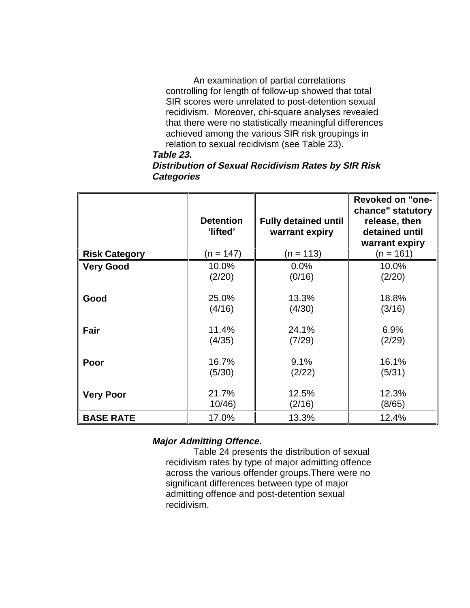An examination of partial correlations controlling for length of follow-up showed that total SIR scores were unrelated to post-detention sexual recidivism. Moreover, chi-square analyses revealed that there were no statistically meaningful differences achieved among the various SIR risk groupings in relation to sexual recidivism (see Table 23). **Table 23.**

### **Distribution of Sexual Recidivism Rates by SIR Risk Categories**

|                      | <b>Detention</b><br>'lifted' | <b>Fully detained until</b><br>warrant expiry | <b>Revoked on "one-</b><br>chance" statutory<br>release, then<br>detained until<br>warrant expiry |
|----------------------|------------------------------|-----------------------------------------------|---------------------------------------------------------------------------------------------------|
| <b>Risk Category</b> | (n = 147)                    | $(n = 113)$                                   | $(n = 161)$                                                                                       |
| <b>Very Good</b>     | 10.0%                        | 0.0%                                          | 10.0%                                                                                             |
|                      | (2/20)                       | (0/16)                                        | (2/20)                                                                                            |
| Good                 | 25.0%<br>(4/16)              | 13.3%<br>(4/30)                               | 18.8%<br>(3/16)                                                                                   |
| Fair                 | 11.4%<br>(4/35)              | 24.1%<br>(7/29)                               | 6.9%<br>(2/29)                                                                                    |
| Poor                 | 16.7%<br>(5/30)              | 9.1%<br>(2/22)                                | 16.1%<br>(5/31)                                                                                   |
| <b>Very Poor</b>     | 21.7%<br>10/46               | 12.5%<br>(2/16)                               | 12.3%<br>(8/65)                                                                                   |
| <b>BASE RATE</b>     | 17.0%                        | 13.3%                                         | 12.4%                                                                                             |

### **Major Admitting Offence.**

Table 24 presents the distribution of sexual recidivism rates by type of major admitting offence across the various offender groups.There were no significant differences between type of major admitting offence and post-detention sexual recidivism.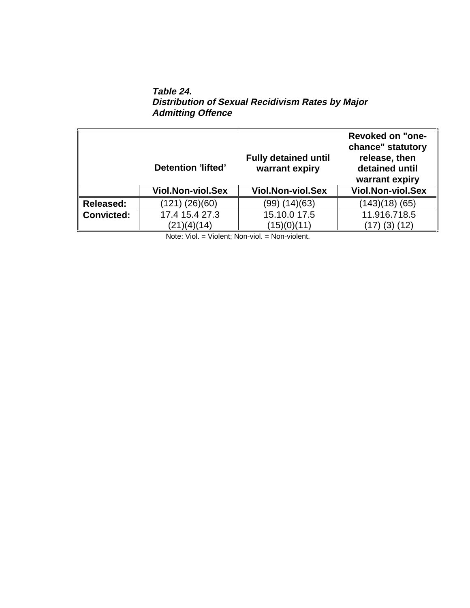**Table 24. Distribution of Sexual Recidivism Rates by Major Admitting Offence**

|                   | Detention 'lifted'       | <b>Fully detained until</b><br>warrant expiry | <b>Revoked on "one-</b><br>chance" statutory<br>release, then<br>detained until<br>warrant expiry |
|-------------------|--------------------------|-----------------------------------------------|---------------------------------------------------------------------------------------------------|
|                   | <b>Viol.Non-viol.Sex</b> | <b>Viol.Non-viol.Sex</b>                      | <b>Viol.Non-viol.Sex</b>                                                                          |
| <b>Released:</b>  | (121) (26)(60)           | (99) (14) (63)                                | (143)(18) (65)                                                                                    |
| <b>Convicted:</b> | 17.4 15.4 27.3           | 15.10.0 17.5                                  | 11.916.718.5                                                                                      |
|                   | (21)(4)(14)              | (15)(0)(11)                                   | (12)                                                                                              |

Note: Viol. = Violent; Non-viol. = Non-violent.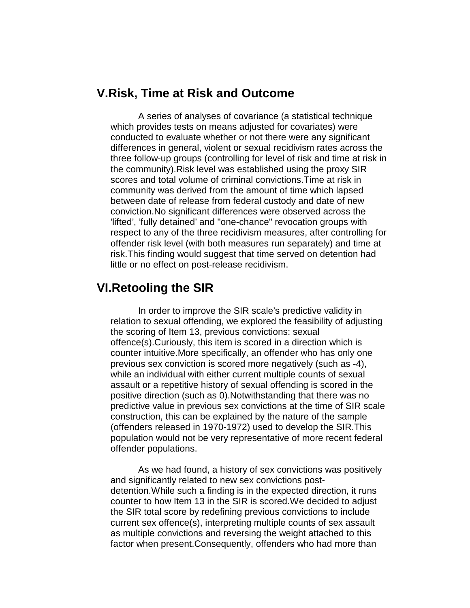# **V.Risk, Time at Risk and Outcome**

A series of analyses of covariance (a statistical technique which provides tests on means adjusted for covariates) were conducted to evaluate whether or not there were any significant differences in general, violent or sexual recidivism rates across the three follow-up groups (controlling for level of risk and time at risk in the community).Risk level was established using the proxy SIR scores and total volume of criminal convictions.Time at risk in community was derived from the amount of time which lapsed between date of release from federal custody and date of new conviction.No significant differences were observed across the 'lifted', 'fully detained' and "one-chance" revocation groups with respect to any of the three recidivism measures, after controlling for offender risk level (with both measures run separately) and time at risk.This finding would suggest that time served on detention had little or no effect on post-release recidivism.

# **VI.Retooling the SIR**

In order to improve the SIR scale's predictive validity in relation to sexual offending, we explored the feasibility of adjusting the scoring of Item 13, previous convictions: sexual offence(s).Curiously, this item is scored in a direction which is counter intuitive.More specifically, an offender who has only one previous sex conviction is scored more negatively (such as -4), while an individual with either current multiple counts of sexual assault or a repetitive history of sexual offending is scored in the positive direction (such as 0).Notwithstanding that there was no predictive value in previous sex convictions at the time of SIR scale construction, this can be explained by the nature of the sample (offenders released in 1970-1972) used to develop the SIR.This population would not be very representative of more recent federal offender populations.

As we had found, a history of sex convictions was positively and significantly related to new sex convictions postdetention.While such a finding is in the expected direction, it runs counter to how Item 13 in the SIR is scored.We decided to adjust the SIR total score by redefining previous convictions to include current sex offence(s), interpreting multiple counts of sex assault as multiple convictions and reversing the weight attached to this factor when present.Consequently, offenders who had more than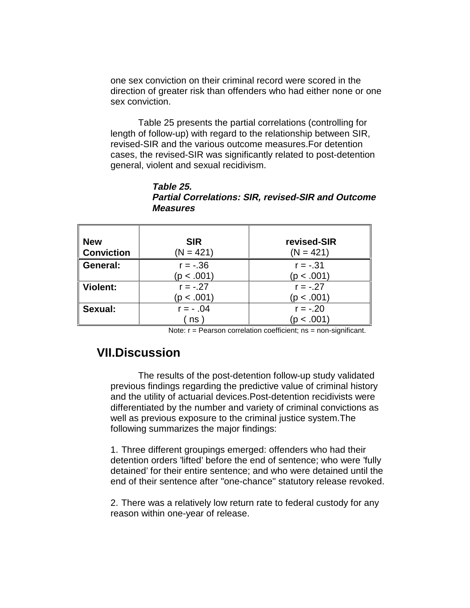one sex conviction on their criminal record were scored in the direction of greater risk than offenders who had either none or one sex conviction.

Table 25 presents the partial correlations (controlling for length of follow-up) with regard to the relationship between SIR, revised-SIR and the various outcome measures.For detention cases, the revised-SIR was significantly related to post-detention general, violent and sexual recidivism.

| <b>New</b><br><b>Conviction</b> | <b>SIR</b><br>$(N = 421)$ | revised-SIR<br>$(N = 421)$ |
|---------------------------------|---------------------------|----------------------------|
| General:                        | $r = -.36$<br>(p < .001)  | $r = -.31$<br>(p < .001)   |
| <b>Violent:</b>                 | $r = -.27$                | $r = -.27$                 |
|                                 | (p < .001)                | (p < .001)                 |
| Sexual:                         | $r = -0.04$               | $r = -.20$                 |
|                                 | n s                       | (p < .001)                 |

**Table 25. Partial Correlations: SIR, revised-SIR and Outcome Measures**

Note: r = Pearson correlation coefficient; ns = non-significant.

# **VII.Discussion**

The results of the post-detention follow-up study validated previous findings regarding the predictive value of criminal history and the utility of actuarial devices.Post-detention recidivists were differentiated by the number and variety of criminal convictions as well as previous exposure to the criminal justice system.The following summarizes the major findings:

1. Three different groupings emerged: offenders who had their detention orders 'lifted' before the end of sentence; who were 'fully detained' for their entire sentence; and who were detained until the end of their sentence after "one-chance" statutory release revoked.

2. There was a relatively low return rate to federal custody for any reason within one-year of release.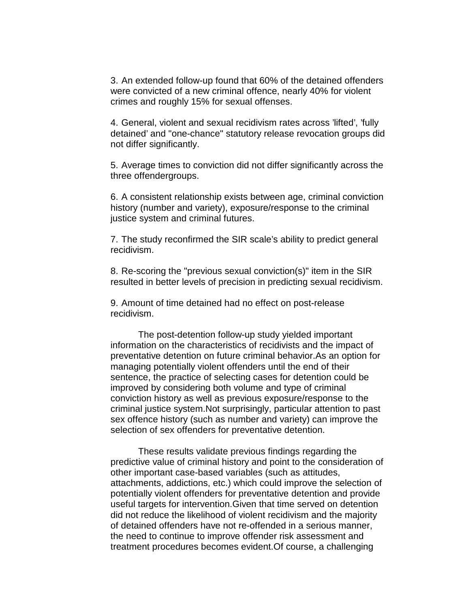3. An extended follow-up found that 60% of the detained offenders were convicted of a new criminal offence, nearly 40% for violent crimes and roughly 15% for sexual offenses.

4. General, violent and sexual recidivism rates across 'lifted', 'fully detained' and "one-chance" statutory release revocation groups did not differ significantly.

5. Average times to conviction did not differ significantly across the three offendergroups.

6. A consistent relationship exists between age, criminal conviction history (number and variety), exposure/response to the criminal justice system and criminal futures.

7. The study reconfirmed the SIR scale's ability to predict general recidivism.

8. Re-scoring the "previous sexual conviction(s)" item in the SIR resulted in better levels of precision in predicting sexual recidivism.

9. Amount of time detained had no effect on post-release recidivism.

The post-detention follow-up study yielded important information on the characteristics of recidivists and the impact of preventative detention on future criminal behavior.As an option for managing potentially violent offenders until the end of their sentence, the practice of selecting cases for detention could be improved by considering both volume and type of criminal conviction history as well as previous exposure/response to the criminal justice system.Not surprisingly, particular attention to past sex offence history (such as number and variety) can improve the selection of sex offenders for preventative detention.

These results validate previous findings regarding the predictive value of criminal history and point to the consideration of other important case-based variables (such as attitudes, attachments, addictions, etc.) which could improve the selection of potentially violent offenders for preventative detention and provide useful targets for intervention.Given that time served on detention did not reduce the likelihood of violent recidivism and the majority of detained offenders have not re-offended in a serious manner, the need to continue to improve offender risk assessment and treatment procedures becomes evident.Of course, a challenging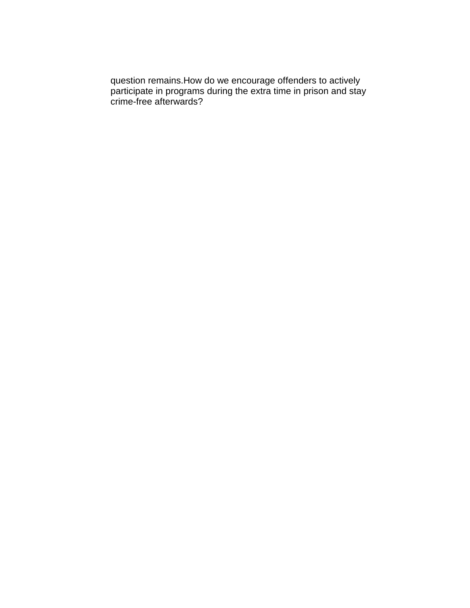question remains.How do we encourage offenders to actively participate in programs during the extra time in prison and stay crime-free afterwards?